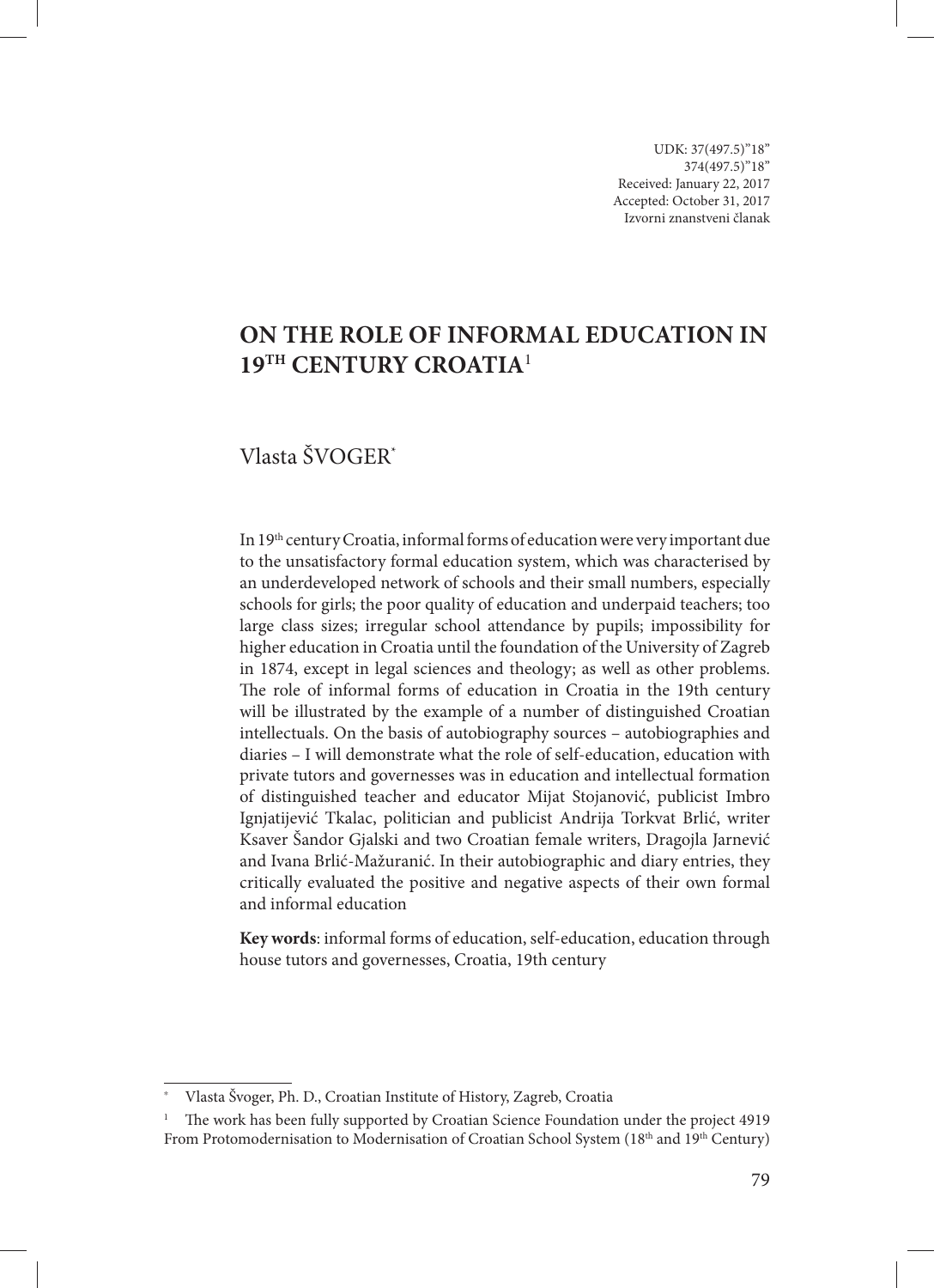UDK: 37(497.5)"18" 374(497.5)''18'' Received: January 22, 2017 Accepted: October 31, 2017 Izvorni znanstveni članak

# **On the Role of Informal Education in 19th Century Croatia**<sup>1</sup>

# Vlasta ŠVOGER\*

In 19<sup>th</sup> century Croatia, informal forms of education were very important due to the unsatisfactory formal education system, which was characterised by an underdeveloped network of schools and their small numbers, especially schools for girls; the poor quality of education and underpaid teachers; too large class sizes; irregular school attendance by pupils; impossibility for higher education in Croatia until the foundation of the University of Zagreb in 1874, except in legal sciences and theology; as well as other problems. The role of informal forms of education in Croatia in the 19th century will be illustrated by the example of a number of distinguished Croatian intellectuals. On the basis of autobiography sources – autobiographies and diaries – I will demonstrate what the role of self-education, education with private tutors and governesses was in education and intellectual formation of distinguished teacher and educator Mijat Stojanović, publicist Imbro Ignjatijević Tkalac, politician and publicist Andrija Torkvat Brlić, writer Ksaver Šandor Gjalski and two Croatian female writers, Dragojla Jarnević and Ivana Brlić-Mažuranić. In their autobiographic and diary entries, they critically evaluated the positive and negative aspects of their own formal and informal education

**Key words**: informal forms of education, self-education, education through house tutors and governesses, Croatia, 19th century

<sup>\*</sup> Vlasta Švoger, Ph. D., Croatian Institute of History, Zagreb, Croatia

<sup>&</sup>lt;sup>1</sup> The work has been fully supported by Croatian Science Foundation under the project 4919 From Protomodernisation to Modernisation of Croatian School System (18<sup>th</sup> and 19<sup>th</sup> Century)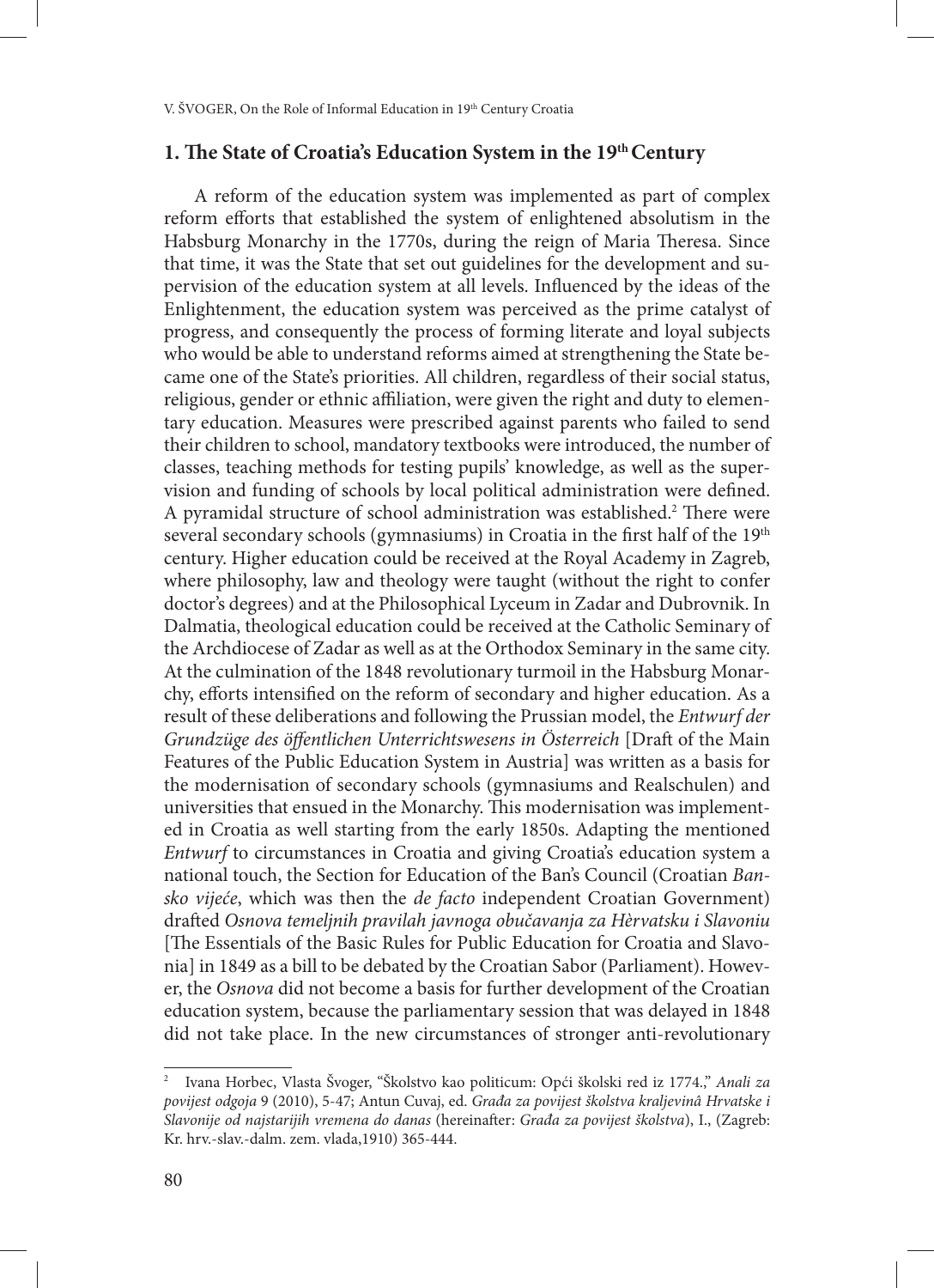# **1. The State of Croatia's Education System in the 19th Century**

A reform of the education system was implemented as part of complex reform efforts that established the system of enlightened absolutism in the Habsburg Monarchy in the 1770s, during the reign of Maria Theresa. Since that time, it was the State that set out guidelines for the development and supervision of the education system at all levels. Influenced by the ideas of the Enlightenment, the education system was perceived as the prime catalyst of progress, and consequently the process of forming literate and loyal subjects who would be able to understand reforms aimed at strengthening the State became one of the State's priorities. All children, regardless of their social status, religious, gender or ethnic affiliation, were given the right and duty to elementary education. Measures were prescribed against parents who failed to send their children to school, mandatory textbooks were introduced, the number of classes, teaching methods for testing pupils' knowledge, as well as the supervision and funding of schools by local political administration were defined. A pyramidal structure of school administration was established.<sup>2</sup> There were several secondary schools (gymnasiums) in Croatia in the first half of the 19<sup>th</sup> century. Higher education could be received at the Royal Academy in Zagreb, where philosophy, law and theology were taught (without the right to confer doctor's degrees) and at the Philosophical Lyceum in Zadar and Dubrovnik. In Dalmatia, theological education could be received at the Catholic Seminary of the Archdiocese of Zadar as well as at the Orthodox Seminary in the same city. At the culmination of the 1848 revolutionary turmoil in the Habsburg Monarchy, efforts intensified on the reform of secondary and higher education. As a result of these deliberations and following the Prussian model, the *Entwurf der Grundzüge des öffentlichen Unterrichtswesens in Österreich* [Draft of the Main Features of the Public Education System in Austria] was written as a basis for the modernisation of secondary schools (gymnasiums and Realschulen) and universities that ensued in the Monarchy. This modernisation was implemented in Croatia as well starting from the early 1850s. Adapting the mentioned *Entwurf* to circumstances in Croatia and giving Croatia's education system a national touch, the Section for Education of the Ban's Council (Croatian *Bansko vijeće*, which was then the *de facto* independent Croatian Government) drafted *Osnova temeljnih pravilah javnoga obučavanja za Hèrvatsku i Slavoniu* [The Essentials of the Basic Rules for Public Education for Croatia and Slavonia] in 1849 as a bill to be debated by the Croatian Sabor (Parliament). However, the *Osnova* did not become a basis for further development of the Croatian education system, because the parliamentary session that was delayed in 1848 did not take place. In the new circumstances of stronger anti-revolutionary

<sup>2</sup> Ivana Horbec, Vlasta Švoger, "Školstvo kao politicum: Opći školski red iz 1774.," *Anali za povijest odgoja* 9 (2010), 5-47; Antun Cuvaj, ed. *Građa za povijest školstva kraljevinâ Hrvatske i Slavonije od najstarijih vremena do danas* (hereinafter: *Građa za povijest školstva*), I., (Zagreb: Kr. hrv.-slav.-dalm. zem. vlada,1910) 365-444.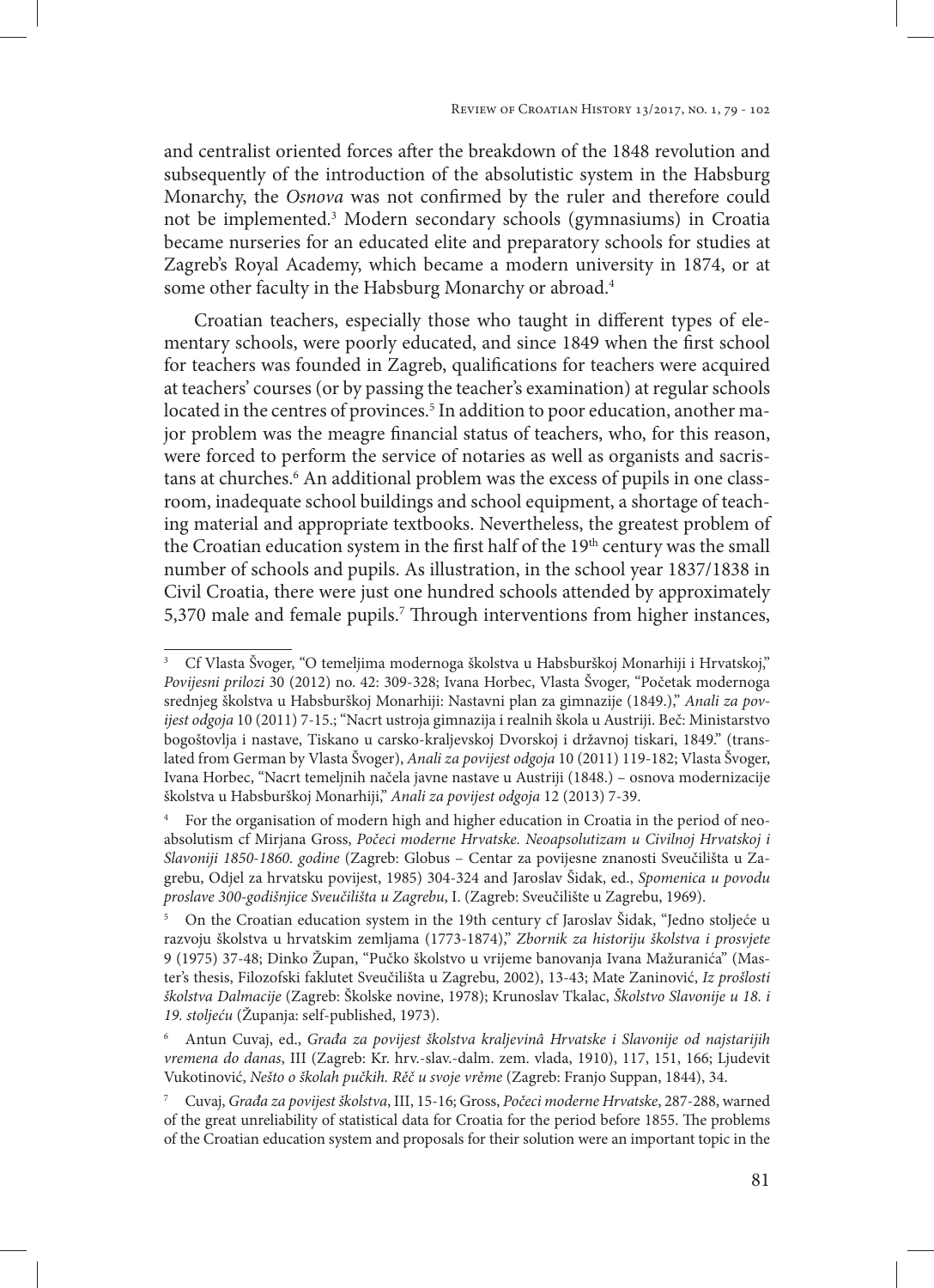and centralist oriented forces after the breakdown of the 1848 revolution and subsequently of the introduction of the absolutistic system in the Habsburg Monarchy, the *Osnova* was not confirmed by the ruler and therefore could not be implemented.3 Modern secondary schools (gymnasiums) in Croatia became nurseries for an educated elite and preparatory schools for studies at Zagreb's Royal Academy, which became a modern university in 1874, or at some other faculty in the Habsburg Monarchy or abroad.<sup>4</sup>

Croatian teachers, especially those who taught in different types of elementary schools, were poorly educated, and since 1849 when the first school for teachers was founded in Zagreb, qualifications for teachers were acquired at teachers' courses (or by passing the teacher's examination) at regular schools located in the centres of provinces.<sup>5</sup> In addition to poor education, another major problem was the meagre financial status of teachers, who, for this reason, were forced to perform the service of notaries as well as organists and sacristans at churches.<sup>6</sup> An additional problem was the excess of pupils in one classroom, inadequate school buildings and school equipment, a shortage of teaching material and appropriate textbooks. Nevertheless, the greatest problem of the Croatian education system in the first half of the 19<sup>th</sup> century was the small number of schools and pupils. As illustration, in the school year 1837/1838 in Civil Croatia, there were just one hundred schools attended by approximately 5,370 male and female pupils.<sup>7</sup> Through interventions from higher instances,

<sup>3</sup> Cf Vlasta Švoger, "O temeljima modernoga školstva u Habsburškoj Monarhiji i Hrvatskoj," *Povijesni prilozi* 30 (2012) no. 42: 309-328; Ivana Horbec, Vlasta Švoger, "Početak modernoga srednjeg školstva u Habsburškoj Monarhiji: Nastavni plan za gimnazije (1849.)," *Anali za povijest odgoja* 10 (2011) 7-15.; "Nacrt ustroja gimnazija i realnih škola u Austriji. Beč: Ministarstvo bogoštovlja i nastave, Tiskano u carsko-kraljevskoj Dvorskoj i državnoj tiskari, 1849." (translated from German by Vlasta Švoger), *Anali za povijest odgoja* 10 (2011) 119-182; Vlasta Švoger, Ivana Horbec, "Nacrt temeljnih načela javne nastave u Austriji (1848.) – osnova modernizacije školstva u Habsburškoj Monarhiji," *Anali za povijest odgoja* 12 (2013) 7-39.

<sup>4</sup> For the organisation of modern high and higher education in Croatia in the period of neoabsolutism cf Mirjana Gross, *Počeci moderne Hrvatske. Neoapsolutizam u Civilnoj Hrvatskoj i Slavoniji 1850-1860. godine* (Zagreb: Globus – Centar za povijesne znanosti Sveučilišta u Zagrebu, Odjel za hrvatsku povijest, 1985) 304-324 and Jaroslav Šidak, ed., *Spomenica u povodu proslave 300-godišnjice Sveučilišta u Zagrebu*, I. (Zagreb: Sveučilište u Zagrebu, 1969).

<sup>5</sup> On the Croatian education system in the 19th century cf Jaroslav Šidak, "Jedno stoljeće u razvoju školstva u hrvatskim zemljama (1773-1874)," *Zbornik za historiju školstva i prosvjete* 9 (1975) 37-48; Dinko Župan, "Pučko školstvo u vrijeme banovanja Ivana Mažuranića" (Master's thesis, Filozofski faklutet Sveučilišta u Zagrebu, 2002), 13-43; Mate Zaninović, *Iz prošlosti školstva Dalmacije* (Zagreb: Školske novine, 1978); Krunoslav Tkalac, *Školstvo Slavonije u 18. i 19. stoljeću* (Županja: self-published, 1973).

<sup>6</sup> Antun Cuvaj, ed., *Građa za povijest školstva kraljevinâ Hrvatske i Slavonije od najstarijih vremena do danas*, III (Zagreb: Kr. hrv.-slav.-dalm. zem. vlada, 1910), 117, 151, 166; Ljudevit Vukotinović, *Nešto o školah pučkih. Rěč u svoje vrěme* (Zagreb: Franjo Suppan, 1844), 34.

<sup>7</sup> Cuvaj, *Građa za povijest školstva*, III, 15-16; Gross, *Počeci moderne Hrvatske*, 287-288, warned of the great unreliability of statistical data for Croatia for the period before 1855. The problems of the Croatian education system and proposals for their solution were an important topic in the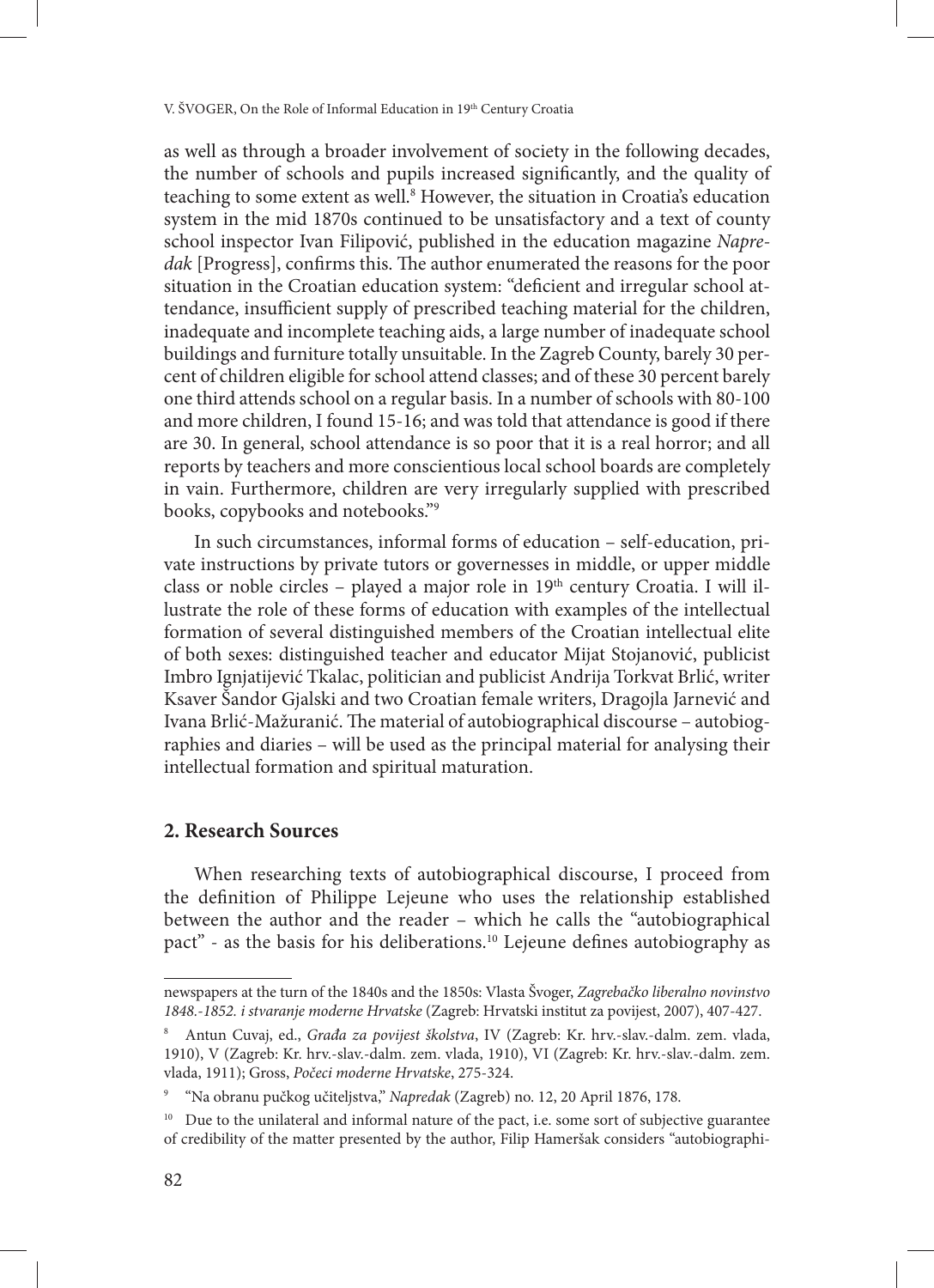as well as through a broader involvement of society in the following decades, the number of schools and pupils increased significantly, and the quality of teaching to some extent as well.8 However, the situation in Croatia's education system in the mid 1870s continued to be unsatisfactory and a text of county school inspector Ivan Filipović, published in the education magazine *Napredak* [Progress], confirms this. The author enumerated the reasons for the poor situation in the Croatian education system: "deficient and irregular school attendance, insufficient supply of prescribed teaching material for the children, inadequate and incomplete teaching aids, a large number of inadequate school buildings and furniture totally unsuitable. In the Zagreb County, barely 30 percent of children eligible for school attend classes; and of these 30 percent barely one third attends school on a regular basis. In a number of schools with 80-100 and more children, I found 15-16; and was told that attendance is good if there are 30. In general, school attendance is so poor that it is a real horror; and all reports by teachers and more conscientious local school boards are completely in vain. Furthermore, children are very irregularly supplied with prescribed books, copybooks and notebooks."9

In such circumstances, informal forms of education – self-education, private instructions by private tutors or governesses in middle, or upper middle class or noble circles - played a major role in 19<sup>th</sup> century Croatia. I will illustrate the role of these forms of education with examples of the intellectual formation of several distinguished members of the Croatian intellectual elite of both sexes: distinguished teacher and educator Mijat Stojanović, publicist Imbro Ignjatijević Tkalac, politician and publicist Andrija Torkvat Brlić, writer Ksaver Šandor Gjalski and two Croatian female writers, Dragojla Jarnević and Ivana Brlić-Mažuranić. The material of autobiographical discourse – autobiographies and diaries – will be used as the principal material for analysing their intellectual formation and spiritual maturation.

# **2. Research Sources**

When researching texts of autobiographical discourse, I proceed from the definition of Philippe Lejeune who uses the relationship established between the author and the reader – which he calls the "autobiographical pact" - as the basis for his deliberations.10 Lejeune defines autobiography as

newspapers at the turn of the 1840s and the 1850s: Vlasta Švoger, *Zagrebačko liberalno novinstvo 1848.-1852. i stvaranje moderne Hrvatske* (Zagreb: Hrvatski institut za povijest, 2007), 407-427.

<sup>8</sup> Antun Cuvaj, ed., *Građa za povijest školstva*, IV (Zagreb: Kr. hrv.-slav.-dalm. zem. vlada, 1910), V (Zagreb: Kr. hrv.-slav.-dalm. zem. vlada, 1910), VI (Zagreb: Kr. hrv.-slav.-dalm. zem. vlada, 1911); Gross, *Počeci moderne Hrvatske*, 275-324.

<sup>9</sup> "Na obranu pučkog učiteljstva," *Napredak* (Zagreb) no. 12, 20 April 1876, 178.

<sup>&</sup>lt;sup>10</sup> Due to the unilateral and informal nature of the pact, i.e. some sort of subjective guarantee of credibility of the matter presented by the author, Filip Hameršak considers "autobiographi-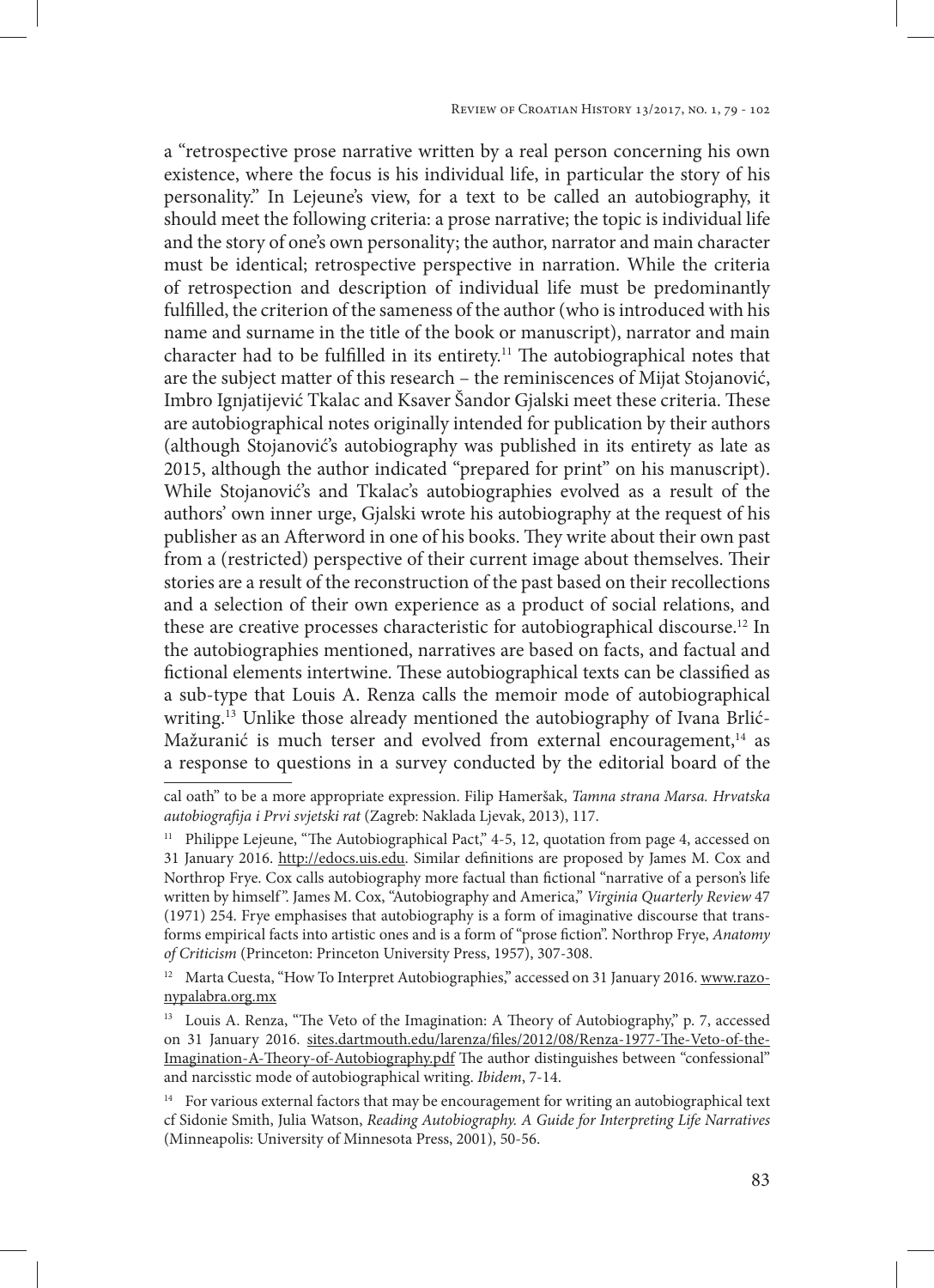a "retrospective prose narrative written by a real person concerning his own existence, where the focus is his individual life, in particular the story of his personality." In Lejeune's view, for a text to be called an autobiography, it should meet the following criteria: a prose narrative; the topic is individual life and the story of one's own personality; the author, narrator and main character must be identical; retrospective perspective in narration. While the criteria of retrospection and description of individual life must be predominantly fulfilled, the criterion of the sameness of the author (who is introduced with his name and surname in the title of the book or manuscript), narrator and main character had to be fulfilled in its entirety.<sup>11</sup> The autobiographical notes that are the subject matter of this research – the reminiscences of Mijat Stojanović, Imbro Ignjatijević Tkalac and Ksaver Šandor Gjalski meet these criteria. These are autobiographical notes originally intended for publication by their authors (although Stojanović's autobiography was published in its entirety as late as 2015, although the author indicated "prepared for print" on his manuscript). While Stojanović's and Tkalac's autobiographies evolved as a result of the authors' own inner urge, Gjalski wrote his autobiography at the request of his publisher as an Afterword in one of his books. They write about their own past from a (restricted) perspective of their current image about themselves. Their stories are a result of the reconstruction of the past based on their recollections and a selection of their own experience as a product of social relations, and these are creative processes characteristic for autobiographical discourse.12 In the autobiographies mentioned, narratives are based on facts, and factual and fictional elements intertwine. These autobiographical texts can be classified as a sub-type that Louis A. Renza calls the memoir mode of autobiographical writing.<sup>13</sup> Unlike those already mentioned the autobiography of Ivana Brlić-Mažuranić is much terser and evolved from external encouragement, $14$  as a response to questions in a survey conducted by the editorial board of the

cal oath" to be a more appropriate expression. Filip Hameršak, *Tamna strana Marsa. Hrvatska autobiografija i Prvi svjetski rat* (Zagreb: Naklada Ljevak, 2013), 117.

<sup>&</sup>lt;sup>11</sup> Philippe Lejeune, "The Autobiographical Pact," 4-5, 12, quotation from page 4, accessed on 31 January 2016. http://edocs.uis.edu. Similar definitions are proposed by James M. Cox and Northrop Frye. Cox calls autobiography more factual than fictional "narrative of a person's life written by himself ". James M. Cox, "Autobiography and America," *Virginia Quarterly Review* 47 (1971) 254. Frye emphasises that autobiography is a form of imaginative discourse that transforms empirical facts into artistic ones and is a form of "prose fiction". Northrop Frye, *Anatomy of Criticism* (Princeton: Princeton University Press, 1957), 307-308.

<sup>&</sup>lt;sup>12</sup> Marta Cuesta, "How To Interpret Autobiographies," accessed on 31 January 2016. www.razonypalabra.org.mx

<sup>&</sup>lt;sup>13</sup> Louis A. Renza, "The Veto of the Imagination: A Theory of Autobiography," p. 7, accessed on 31 January 2016. sites.dartmouth.edu/larenza/files/2012/08/Renza-1977-The-Veto-of-the-Imagination-A-Theory-of-Autobiography.pdf The author distinguishes between "confessional" and narcisstic mode of autobiographical writing. *Ibidem*, 7-14.

<sup>&</sup>lt;sup>14</sup> For various external factors that may be encouragement for writing an autobiographical text cf Sidonie Smith, Julia Watson, *Reading Autobiography. A Guide for Interpreting Life Narratives* (Minneapolis: University of Minnesota Press, 2001), 50-56.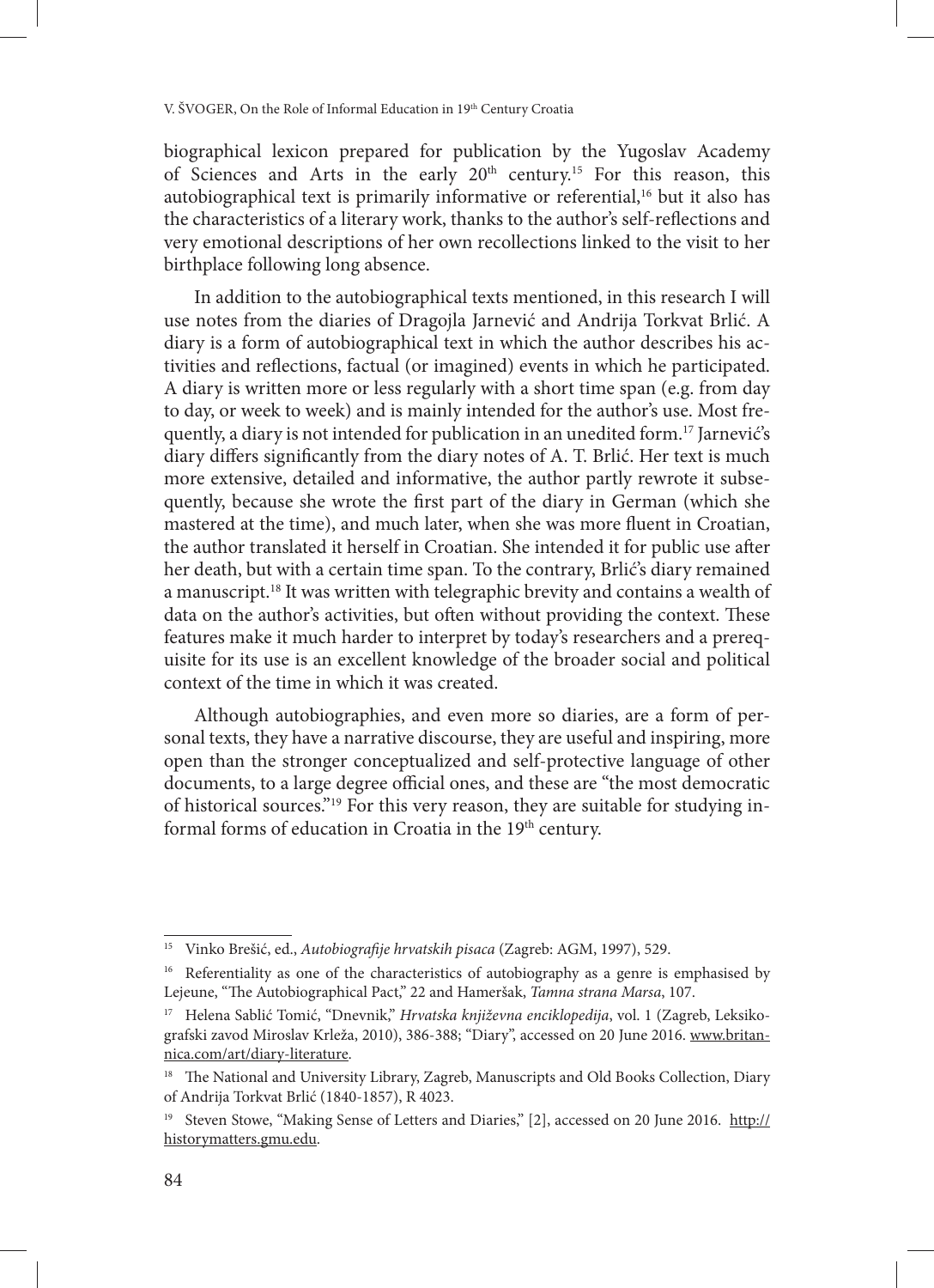biographical lexicon prepared for publication by the Yugoslav Academy of Sciences and Arts in the early 20<sup>th</sup> century.<sup>15</sup> For this reason, this autobiographical text is primarily informative or referential,<sup>16</sup> but it also has the characteristics of a literary work, thanks to the author's self-reflections and very emotional descriptions of her own recollections linked to the visit to her birthplace following long absence.

In addition to the autobiographical texts mentioned, in this research I will use notes from the diaries of Dragojla Jarnević and Andrija Torkvat Brlić. A diary is a form of autobiographical text in which the author describes his activities and reflections, factual (or imagined) events in which he participated. A diary is written more or less regularly with a short time span (e.g. from day to day, or week to week) and is mainly intended for the author's use. Most frequently, a diary is not intended for publication in an unedited form.<sup>17</sup> Jarnević's diary differs significantly from the diary notes of A. T. Brlić. Her text is much more extensive, detailed and informative, the author partly rewrote it subsequently, because she wrote the first part of the diary in German (which she mastered at the time), and much later, when she was more fluent in Croatian, the author translated it herself in Croatian. She intended it for public use after her death, but with a certain time span. To the contrary, Brlić's diary remained a manuscript.<sup>18</sup> It was written with telegraphic brevity and contains a wealth of data on the author's activities, but often without providing the context. These features make it much harder to interpret by today's researchers and a prerequisite for its use is an excellent knowledge of the broader social and political context of the time in which it was created.

Although autobiographies, and even more so diaries, are a form of personal texts, they have a narrative discourse, they are useful and inspiring, more open than the stronger conceptualized and self-protective language of other documents, to a large degree official ones, and these are "the most democratic of historical sources."19 For this very reason, they are suitable for studying informal forms of education in Croatia in the 19<sup>th</sup> century.

<sup>15</sup> Vinko Brešić, ed., *Autobiografije hrvatskih pisaca* (Zagreb: AGM, 1997), 529.

<sup>&</sup>lt;sup>16</sup> Referentiality as one of the characteristics of autobiography as a genre is emphasised by Lejeune, "The Autobiographical Pact," 22 and Hameršak, *Tamna strana Marsa*, 107.

<sup>&</sup>lt;sup>17</sup> Helena Sablić Tomić, "Dnevnik," *Hrvatska književna enciklopedija*, vol. 1 (Zagreb, Leksikografski zavod Miroslav Krleža, 2010), 386-388; "Diary", accessed on 20 June 2016. www.britannica.com/art/diary-literature.

<sup>&</sup>lt;sup>18</sup> The National and University Library, Zagreb, Manuscripts and Old Books Collection, Diary of Andrija Torkvat Brlić (1840-1857), R 4023.

<sup>&</sup>lt;sup>19</sup> Steven Stowe, "Making Sense of Letters and Diaries," [2], accessed on 20 June 2016. http:// historymatters.gmu.edu.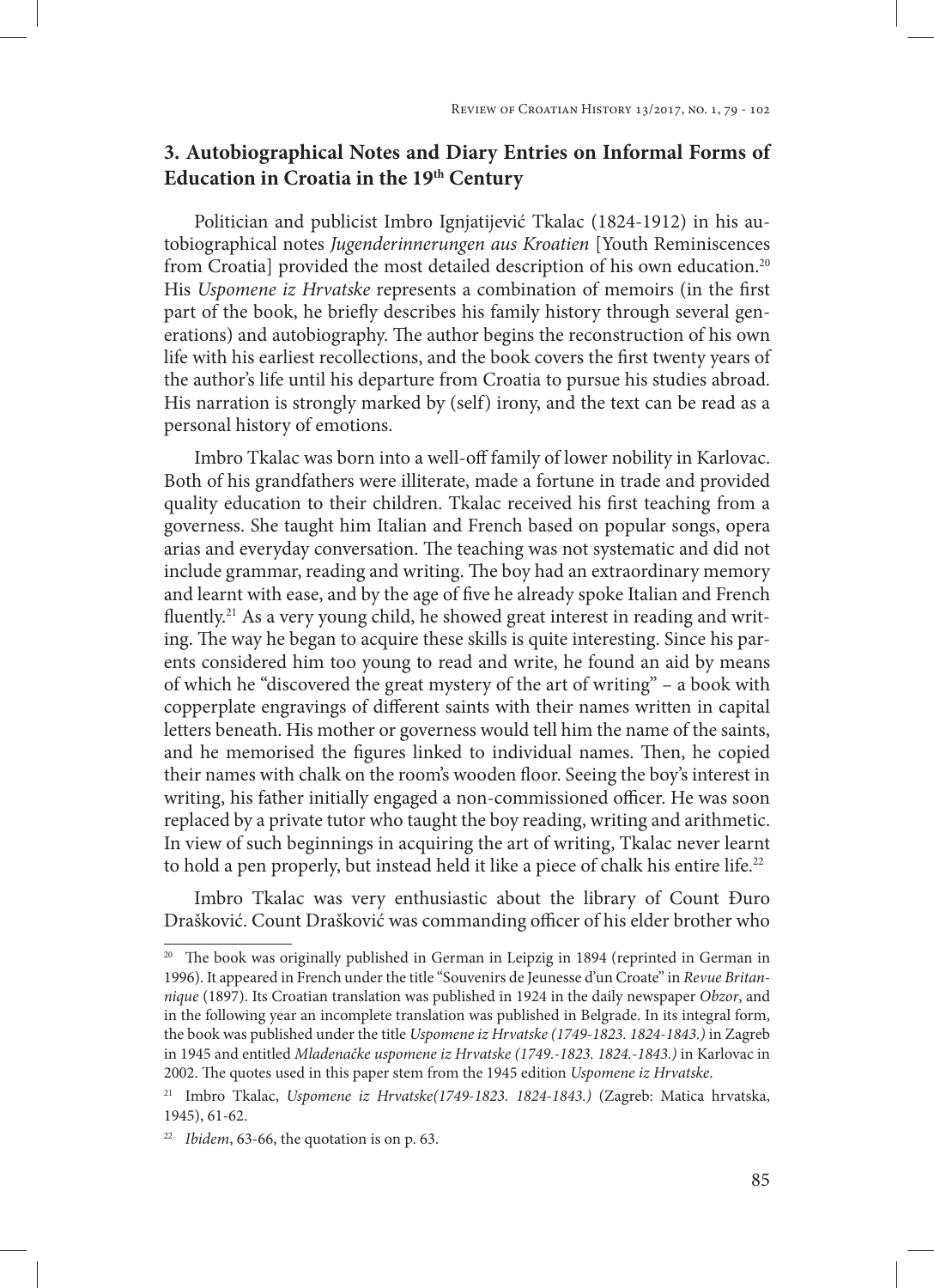# **3. Autobiographical Notes and Diary Entries on Informal Forms of Education in Croatia in the 19th Century**

Politician and publicist Imbro Ignjatijević Tkalac (1824-1912) in his autobiographical notes *Jugenderinnerungen aus Kroatien* [Youth Reminiscences from Croatia] provided the most detailed description of his own education.<sup>20</sup> His *Uspomene iz Hrvatske* represents a combination of memoirs (in the first part of the book, he briefly describes his family history through several generations) and autobiography. The author begins the reconstruction of his own life with his earliest recollections, and the book covers the first twenty years of the author's life until his departure from Croatia to pursue his studies abroad. His narration is strongly marked by (self) irony, and the text can be read as a personal history of emotions.

Imbro Tkalac was born into a well-off family of lower nobility in Karlovac. Both of his grandfathers were illiterate, made a fortune in trade and provided quality education to their children. Tkalac received his first teaching from a governess. She taught him Italian and French based on popular songs, opera arias and everyday conversation. The teaching was not systematic and did not include grammar, reading and writing. The boy had an extraordinary memory and learnt with ease, and by the age of five he already spoke Italian and French fluently.<sup>21</sup> As a very young child, he showed great interest in reading and writing. The way he began to acquire these skills is quite interesting. Since his parents considered him too young to read and write, he found an aid by means of which he "discovered the great mystery of the art of writing" – a book with copperplate engravings of different saints with their names written in capital letters beneath. His mother or governess would tell him the name of the saints, and he memorised the figures linked to individual names. Then, he copied their names with chalk on the room's wooden floor. Seeing the boy's interest in writing, his father initially engaged a non-commissioned officer. He was soon replaced by a private tutor who taught the boy reading, writing and arithmetic. In view of such beginnings in acquiring the art of writing, Tkalac never learnt to hold a pen properly, but instead held it like a piece of chalk his entire life.<sup>22</sup>

Imbro Tkalac was very enthusiastic about the library of Count Đuro Drašković. Count Drašković was commanding officer of his elder brother who

<sup>&</sup>lt;sup>20</sup> The book was originally published in German in Leipzig in 1894 (reprinted in German in 1996). It appeared in French under the title "Souvenirs de Jeunesse d'un Croate" in *Revue Britannique* (1897). Its Croatian translation was published in 1924 in the daily newspaper *Obzor*, and in the following year an incomplete translation was published in Belgrade. In its integral form, the book was published under the title *Uspomene iz Hrvatske (1749-1823. 1824-1843.)* in Zagreb in 1945 and entitled *Mladenačke uspomene iz Hrvatske (1749.-1823. 1824.-1843.)* in Karlovac in 2002. The quotes used in this paper stem from the 1945 edition *Uspomene iz Hrvatske*.

<sup>21</sup> Imbro Tkalac, *Uspomene iz Hrvatske(1749-1823. 1824-1843.)* (Zagreb: Matica hrvatska, 1945), 61-62.

<sup>22</sup> *Ibidem*, 63-66, the quotation is on p. 63.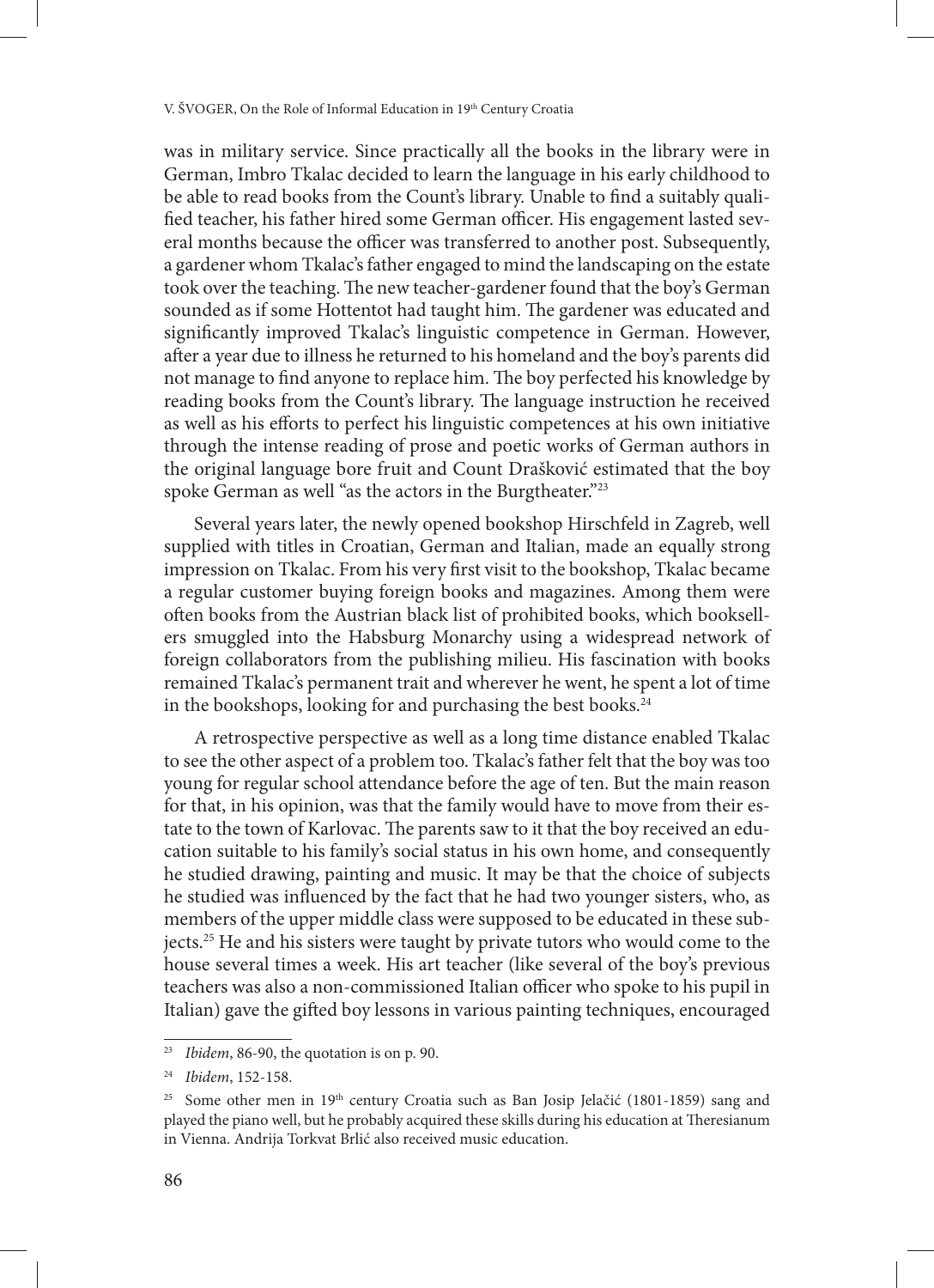was in military service. Since practically all the books in the library were in German, Imbro Tkalac decided to learn the language in his early childhood to be able to read books from the Count's library. Unable to find a suitably qualified teacher, his father hired some German officer. His engagement lasted several months because the officer was transferred to another post. Subsequently, a gardener whom Tkalac's father engaged to mind the landscaping on the estate took over the teaching. The new teacher-gardener found that the boy's German sounded as if some Hottentot had taught him. The gardener was educated and significantly improved Tkalac's linguistic competence in German. However, after a year due to illness he returned to his homeland and the boy's parents did not manage to find anyone to replace him. The boy perfected his knowledge by reading books from the Count's library. The language instruction he received as well as his efforts to perfect his linguistic competences at his own initiative through the intense reading of prose and poetic works of German authors in the original language bore fruit and Count Drašković estimated that the boy spoke German as well "as the actors in the Burgtheater."<sup>23</sup>

Several years later, the newly opened bookshop Hirschfeld in Zagreb, well supplied with titles in Croatian, German and Italian, made an equally strong impression on Tkalac. From his very first visit to the bookshop, Tkalac became a regular customer buying foreign books and magazines. Among them were often books from the Austrian black list of prohibited books, which booksellers smuggled into the Habsburg Monarchy using a widespread network of foreign collaborators from the publishing milieu. His fascination with books remained Tkalac's permanent trait and wherever he went, he spent a lot of time in the bookshops, looking for and purchasing the best books.<sup>24</sup>

A retrospective perspective as well as a long time distance enabled Tkalac to see the other aspect of a problem too. Tkalac's father felt that the boy was too young for regular school attendance before the age of ten. But the main reason for that, in his opinion, was that the family would have to move from their estate to the town of Karlovac. The parents saw to it that the boy received an education suitable to his family's social status in his own home, and consequently he studied drawing, painting and music. It may be that the choice of subjects he studied was influenced by the fact that he had two younger sisters, who, as members of the upper middle class were supposed to be educated in these subjects.25 He and his sisters were taught by private tutors who would come to the house several times a week. His art teacher (like several of the boy's previous teachers was also a non-commissioned Italian officer who spoke to his pupil in Italian) gave the gifted boy lessons in various painting techniques, encouraged

<sup>23</sup> *Ibidem*, 86-90, the quotation is on p. 90.

<sup>24</sup> *Ibidem*, 152-158.

<sup>&</sup>lt;sup>25</sup> Some other men in 19<sup>th</sup> century Croatia such as Ban Josip Jelačić (1801-1859) sang and played the piano well, but he probably acquired these skills during his education at Theresianum in Vienna. Andrija Torkvat Brlić also received music education.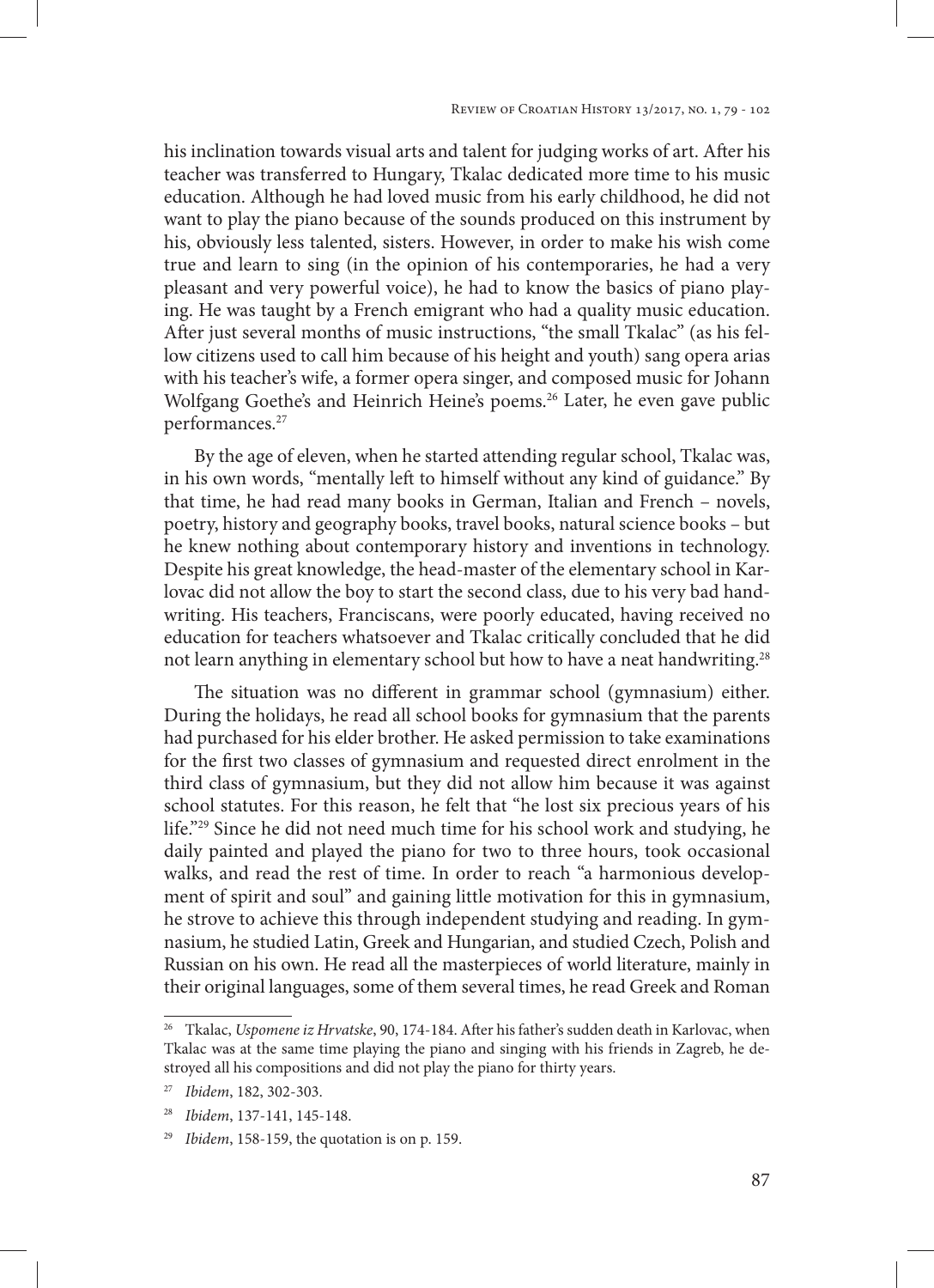his inclination towards visual arts and talent for judging works of art. After his teacher was transferred to Hungary, Tkalac dedicated more time to his music education. Although he had loved music from his early childhood, he did not want to play the piano because of the sounds produced on this instrument by his, obviously less talented, sisters. However, in order to make his wish come true and learn to sing (in the opinion of his contemporaries, he had a very pleasant and very powerful voice), he had to know the basics of piano playing. He was taught by a French emigrant who had a quality music education. After just several months of music instructions, "the small Tkalac" (as his fellow citizens used to call him because of his height and youth) sang opera arias with his teacher's wife, a former opera singer, and composed music for Johann Wolfgang Goethe's and Heinrich Heine's poems.<sup>26</sup> Later, he even gave public performances.<sup>27</sup>

By the age of eleven, when he started attending regular school, Tkalac was, in his own words, "mentally left to himself without any kind of guidance." By that time, he had read many books in German, Italian and French – novels, poetry, history and geography books, travel books, natural science books – but he knew nothing about contemporary history and inventions in technology. Despite his great knowledge, the head-master of the elementary school in Karlovac did not allow the boy to start the second class, due to his very bad handwriting. His teachers, Franciscans, were poorly educated, having received no education for teachers whatsoever and Tkalac critically concluded that he did not learn anything in elementary school but how to have a neat handwriting.<sup>28</sup>

The situation was no different in grammar school (gymnasium) either. During the holidays, he read all school books for gymnasium that the parents had purchased for his elder brother. He asked permission to take examinations for the first two classes of gymnasium and requested direct enrolment in the third class of gymnasium, but they did not allow him because it was against school statutes. For this reason, he felt that "he lost six precious years of his life."29 Since he did not need much time for his school work and studying, he daily painted and played the piano for two to three hours, took occasional walks, and read the rest of time. In order to reach "a harmonious development of spirit and soul" and gaining little motivation for this in gymnasium, he strove to achieve this through independent studying and reading. In gymnasium, he studied Latin, Greek and Hungarian, and studied Czech, Polish and Russian on his own. He read all the masterpieces of world literature, mainly in their original languages, some of them several times, he read Greek and Roman

<sup>26</sup> Tkalac, *Uspomene iz Hrvatske*, 90, 174-184. After his father's sudden death in Karlovac, when Tkalac was at the same time playing the piano and singing with his friends in Zagreb, he destroyed all his compositions and did not play the piano for thirty years.

<sup>27</sup> *Ibidem*, 182, 302-303.

<sup>28</sup> *Ibidem*, 137-141, 145-148.

<sup>29</sup> *Ibidem*, 158-159, the quotation is on p. 159.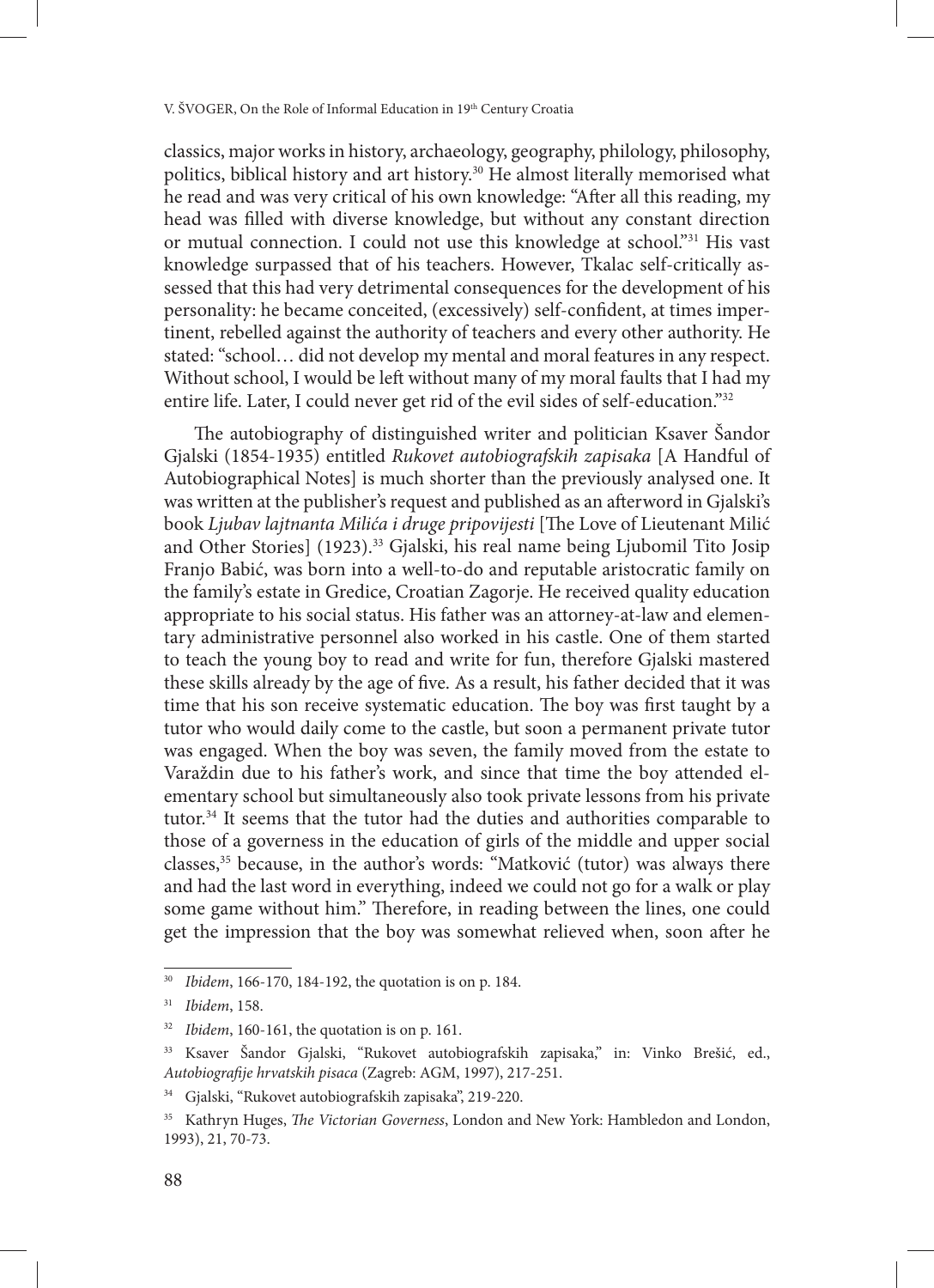classics, major works in history, archaeology, geography, philology, philosophy, politics, biblical history and art history.<sup>30</sup> He almost literally memorised what he read and was very critical of his own knowledge: "After all this reading, my head was filled with diverse knowledge, but without any constant direction or mutual connection. I could not use this knowledge at school."<sup>31</sup> His vast knowledge surpassed that of his teachers. However, Tkalac self-critically assessed that this had very detrimental consequences for the development of his personality: he became conceited, (excessively) self-confident, at times impertinent, rebelled against the authority of teachers and every other authority. He stated: "school… did not develop my mental and moral features in any respect. Without school, I would be left without many of my moral faults that I had my entire life. Later, I could never get rid of the evil sides of self-education."32

The autobiography of distinguished writer and politician Ksaver Šandor Gjalski (1854-1935) entitled *Rukovet autobiografskih zapisaka* [A Handful of Autobiographical Notes] is much shorter than the previously analysed one. It was written at the publisher's request and published as an afterword in Gjalski's book *Ljubav lajtnanta Milića i druge pripovijesti* [The Love of Lieutenant Milić and Other Stories] (1923).<sup>33</sup> Gjalski, his real name being Ljubomil Tito Josip Franjo Babić, was born into a well-to-do and reputable aristocratic family on the family's estate in Gredice, Croatian Zagorje. He received quality education appropriate to his social status. His father was an attorney-at-law and elementary administrative personnel also worked in his castle. One of them started to teach the young boy to read and write for fun, therefore Gjalski mastered these skills already by the age of five. As a result, his father decided that it was time that his son receive systematic education. The boy was first taught by a tutor who would daily come to the castle, but soon a permanent private tutor was engaged. When the boy was seven, the family moved from the estate to Varaždin due to his father's work, and since that time the boy attended elementary school but simultaneously also took private lessons from his private tutor.34 It seems that the tutor had the duties and authorities comparable to those of a governess in the education of girls of the middle and upper social classes,35 because, in the author's words: "Matković (tutor) was always there and had the last word in everything, indeed we could not go for a walk or play some game without him." Therefore, in reading between the lines, one could get the impression that the boy was somewhat relieved when, soon after he

<sup>30</sup> *Ibidem*, 166-170, 184-192, the quotation is on p. 184.

<sup>31</sup> *Ibidem*, 158.

<sup>32</sup> *Ibidem*, 160-161, the quotation is on p. 161.

<sup>33</sup> Ksaver Šandor Gjalski, "Rukovet autobiografskih zapisaka," in: Vinko Brešić, ed., *Autobiografije hrvatskih pisaca* (Zagreb: AGM, 1997), 217-251.

<sup>34</sup> Gjalski, "Rukovet autobiografskih zapisaka", 219-220.

<sup>35</sup> Kathryn Huges, *The Victorian Governess*, London and New York: Hambledon and London, 1993), 21, 70-73.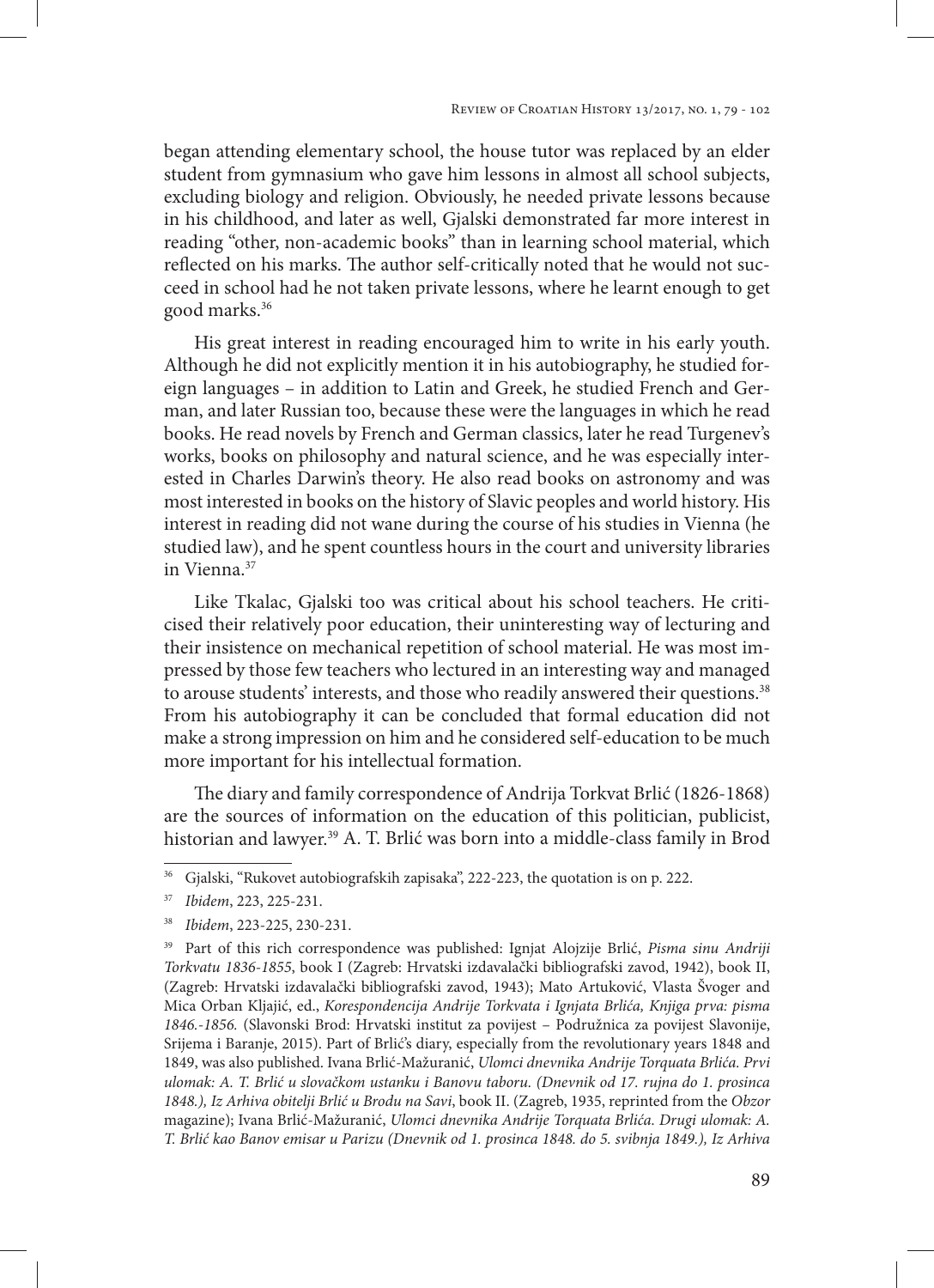began attending elementary school, the house tutor was replaced by an elder student from gymnasium who gave him lessons in almost all school subjects, excluding biology and religion. Obviously, he needed private lessons because in his childhood, and later as well, Gjalski demonstrated far more interest in reading "other, non-academic books" than in learning school material, which reflected on his marks. The author self-critically noted that he would not succeed in school had he not taken private lessons, where he learnt enough to get good marks.36

His great interest in reading encouraged him to write in his early youth. Although he did not explicitly mention it in his autobiography, he studied foreign languages – in addition to Latin and Greek, he studied French and German, and later Russian too, because these were the languages in which he read books. He read novels by French and German classics, later he read Turgenev's works, books on philosophy and natural science, and he was especially interested in Charles Darwin's theory. He also read books on astronomy and was most interested in books on the history of Slavic peoples and world history. His interest in reading did not wane during the course of his studies in Vienna (he studied law), and he spent countless hours in the court and university libraries in Vienna.<sup>37</sup>

Like Tkalac, Gjalski too was critical about his school teachers. He criticised their relatively poor education, their uninteresting way of lecturing and their insistence on mechanical repetition of school material. He was most impressed by those few teachers who lectured in an interesting way and managed to arouse students' interests, and those who readily answered their questions.<sup>38</sup> From his autobiography it can be concluded that formal education did not make a strong impression on him and he considered self-education to be much more important for his intellectual formation.

The diary and family correspondence of Andrija Torkvat Brlić (1826-1868) are the sources of information on the education of this politician, publicist, historian and lawyer.39 A. T. Brlić was born into a middle-class family in Brod

<sup>36</sup> Gjalski, "Rukovet autobiografskih zapisaka", 222-223, the quotation is on p. 222.

<sup>37</sup> *Ibidem*, 223, 225-231.

<sup>38</sup> *Ibidem*, 223-225, 230-231.

<sup>39</sup> Part of this rich correspondence was published: Ignjat Alojzije Brlić, *Pisma sinu Andriji Torkvatu 1836-1855*, book I (Zagreb: Hrvatski izdavalački bibliografski zavod, 1942), book II, (Zagreb: Hrvatski izdavalački bibliografski zavod, 1943); Mato Artuković, Vlasta Švoger and Mica Orban Kljajić, ed., *Korespondencija Andrije Torkvata i Ignjata Brlića, Knjiga prva: pisma 1846.-1856.* (Slavonski Brod: Hrvatski institut za povijest – Podružnica za povijest Slavonije, Srijema i Baranje, 2015). Part of Brlić's diary, especially from the revolutionary years 1848 and 1849, was also published. Ivana Brlić-Mažuranić, *Ulomci dnevnika Andrije Torquata Brlića. Prvi ulomak: A. T. Brlić u slovačkom ustanku i Banovu taboru. (Dnevnik od 17. rujna do 1. prosinca 1848.), Iz Arhiva obitelji Brlić u Brodu na Savi*, book II. (Zagreb, 1935, reprinted from the *Obzor*  magazine); Ivana Brlić-Mažuranić, *Ulomci dnevnika Andrije Torquata Brlića. Drugi ulomak: A. T. Brlić kao Banov emisar u Parizu (Dnevnik od 1. prosinca 1848. do 5. svibnja 1849.), Iz Arhiva*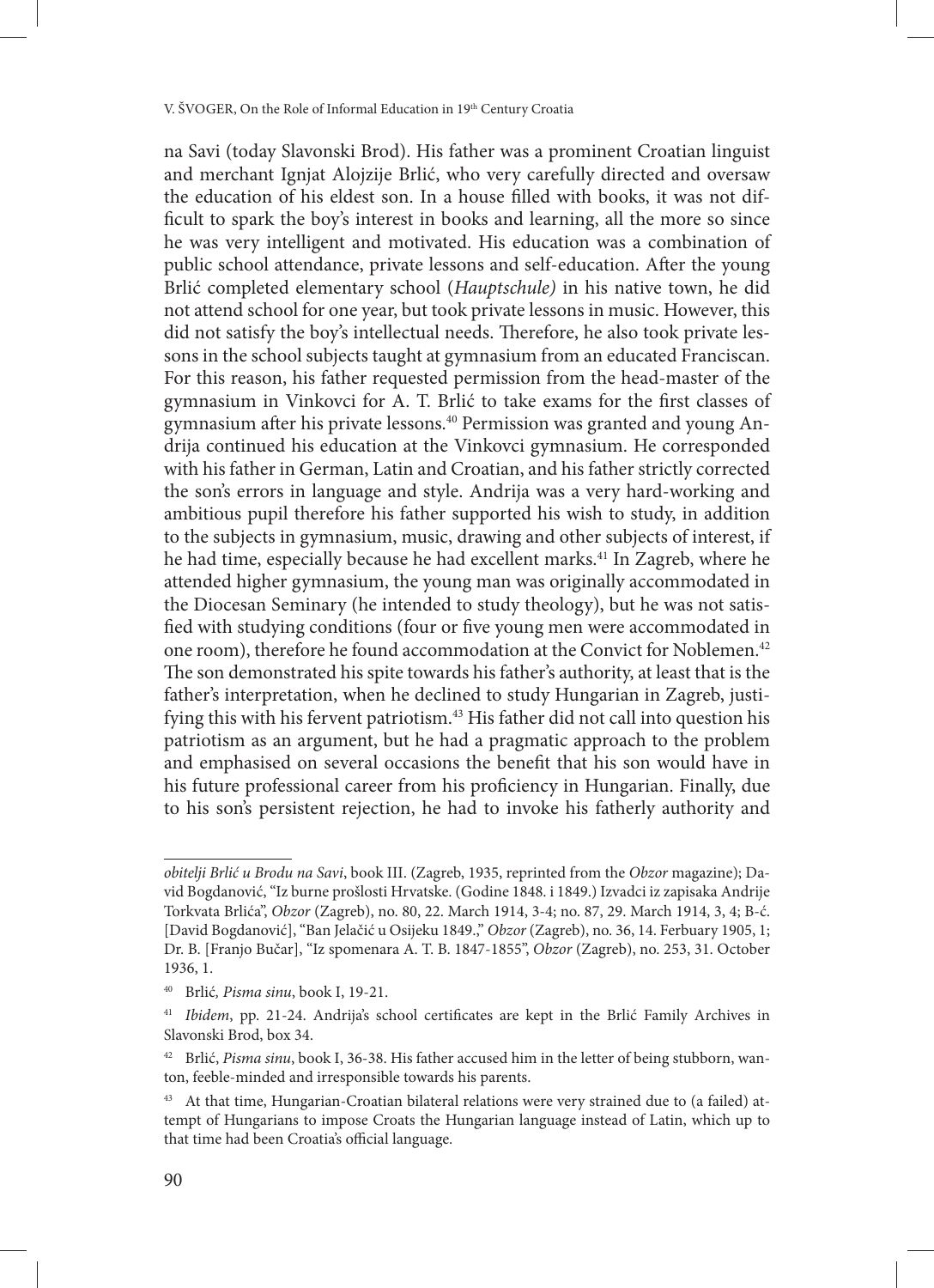na Savi (today Slavonski Brod). His father was a prominent Croatian linguist and merchant Ignjat Alojzije Brlić, who very carefully directed and oversaw the education of his eldest son. In a house filled with books, it was not difficult to spark the boy's interest in books and learning, all the more so since he was very intelligent and motivated. His education was a combination of public school attendance, private lessons and self-education. After the young Brlić completed elementary school (*Hauptschule)* in his native town, he did not attend school for one year, but took private lessons in music. However, this did not satisfy the boy's intellectual needs. Therefore, he also took private lessons in the school subjects taught at gymnasium from an educated Franciscan. For this reason, his father requested permission from the head-master of the gymnasium in Vinkovci for A. T. Brlić to take exams for the first classes of gymnasium after his private lessons.<sup>40</sup> Permission was granted and young Andrija continued his education at the Vinkovci gymnasium. He corresponded with his father in German, Latin and Croatian, and his father strictly corrected the son's errors in language and style. Andrija was a very hard-working and ambitious pupil therefore his father supported his wish to study, in addition to the subjects in gymnasium, music, drawing and other subjects of interest, if he had time, especially because he had excellent marks.<sup>41</sup> In Zagreb, where he attended higher gymnasium, the young man was originally accommodated in the Diocesan Seminary (he intended to study theology), but he was not satisfied with studying conditions (four or five young men were accommodated in one room), therefore he found accommodation at the Convict for Noblemen.<sup>42</sup> The son demonstrated his spite towards his father's authority, at least that is the father's interpretation, when he declined to study Hungarian in Zagreb, justifying this with his fervent patriotism.<sup>43</sup> His father did not call into question his patriotism as an argument, but he had a pragmatic approach to the problem and emphasised on several occasions the benefit that his son would have in his future professional career from his proficiency in Hungarian. Finally, due to his son's persistent rejection, he had to invoke his fatherly authority and

*obitelji Brlić u Brodu na Savi*, book III. (Zagreb, 1935, reprinted from the *Obzor* magazine); David Bogdanović, "Iz burne prošlosti Hrvatske. (Godine 1848. i 1849.) Izvadci iz zapisaka Andrije Torkvata Brlića", *Obzor* (Zagreb), no. 80, 22. March 1914, 3-4; no. 87, 29. March 1914, 3, 4; B-ć. [David Bogdanović], "Ban Jelačić u Osijeku 1849.," *Obzor* (Zagreb), no. 36, 14. Ferbuary 1905, 1; Dr. B. [Franjo Bučar], "Iz spomenara A. T. B. 1847-1855", *Obzor* (Zagreb), no. 253, 31. October 1936, 1.

<sup>40</sup> Brlić*, Pisma sinu*, book I, 19-21.

<sup>41</sup> *Ibidem*, pp. 21-24. Andrija's school certificates are kept in the Brlić Family Archives in Slavonski Brod, box 34.

<sup>42</sup> Brlić, *Pisma sinu*, book I, 36-38. His father accused him in the letter of being stubborn, wanton, feeble-minded and irresponsible towards his parents.

<sup>43</sup> At that time, Hungarian-Croatian bilateral relations were very strained due to (a failed) attempt of Hungarians to impose Croats the Hungarian language instead of Latin, which up to that time had been Croatia's official language.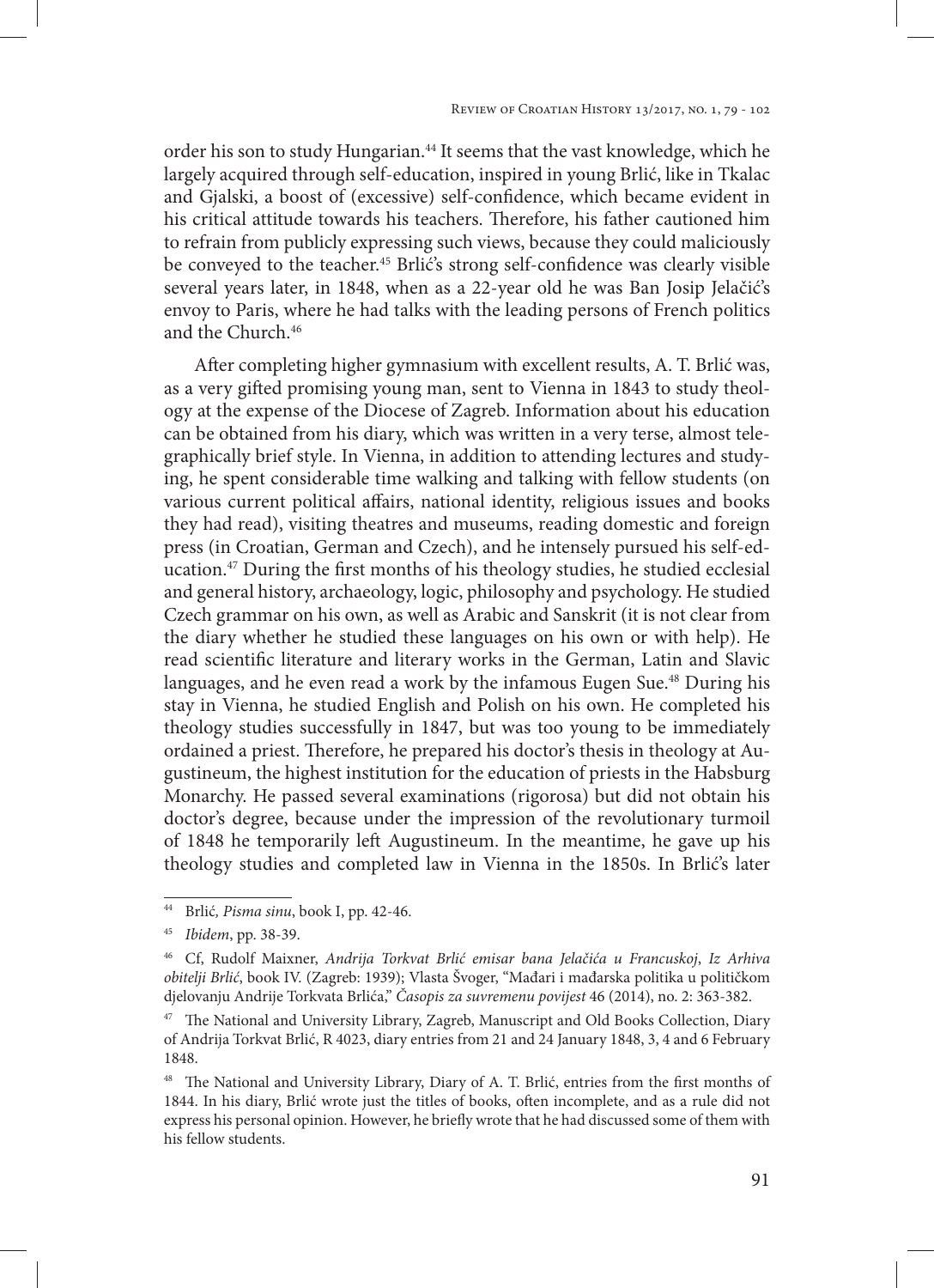order his son to study Hungarian.<sup>44</sup> It seems that the vast knowledge, which he largely acquired through self-education, inspired in young Brlić, like in Tkalac and Gjalski, a boost of (excessive) self-confidence, which became evident in his critical attitude towards his teachers. Therefore, his father cautioned him to refrain from publicly expressing such views, because they could maliciously be conveyed to the teacher.<sup>45</sup> Brlić's strong self-confidence was clearly visible several years later, in 1848, when as a 22-year old he was Ban Josip Jelačić's envoy to Paris, where he had talks with the leading persons of French politics and the Church.46

After completing higher gymnasium with excellent results, A. T. Brlić was, as a very gifted promising young man, sent to Vienna in 1843 to study theology at the expense of the Diocese of Zagreb. Information about his education can be obtained from his diary, which was written in a very terse, almost telegraphically brief style. In Vienna, in addition to attending lectures and studying, he spent considerable time walking and talking with fellow students (on various current political affairs, national identity, religious issues and books they had read), visiting theatres and museums, reading domestic and foreign press (in Croatian, German and Czech), and he intensely pursued his self-education.47 During the first months of his theology studies, he studied ecclesial and general history, archaeology, logic, philosophy and psychology. He studied Czech grammar on his own, as well as Arabic and Sanskrit (it is not clear from the diary whether he studied these languages on his own or with help). He read scientific literature and literary works in the German, Latin and Slavic languages, and he even read a work by the infamous Eugen Sue.<sup>48</sup> During his stay in Vienna, he studied English and Polish on his own. He completed his theology studies successfully in 1847, but was too young to be immediately ordained a priest. Therefore, he prepared his doctor's thesis in theology at Augustineum, the highest institution for the education of priests in the Habsburg Monarchy. He passed several examinations (rigorosa) but did not obtain his doctor's degree, because under the impression of the revolutionary turmoil of 1848 he temporarily left Augustineum. In the meantime, he gave up his theology studies and completed law in Vienna in the 1850s. In Brlić's later

<sup>44</sup> Brlić*, Pisma sinu*, book I, pp. 42-46.

<sup>45</sup> *Ibidem*, pp. 38-39.

<sup>46</sup> Cf, Rudolf Maixner, *Andrija Torkvat Brlić emisar bana Jelačića u Francuskoj*, *Iz Arhiva obitelji Brlić*, book IV. (Zagreb: 1939); Vlasta Švoger, "Mađari i mađarska politika u političkom djelovanju Andrije Torkvata Brlića," *Časopis za suvremenu povijest* 46 (2014), no. 2: 363-382.

<sup>&</sup>lt;sup>47</sup> The National and University Library, Zagreb, Manuscript and Old Books Collection, Diary of Andrija Torkvat Brlić, R 4023, diary entries from 21 and 24 January 1848, 3, 4 and 6 February 1848.

<sup>&</sup>lt;sup>48</sup> The National and University Library, Diary of A. T. Brlić, entries from the first months of 1844. In his diary, Brlić wrote just the titles of books, often incomplete, and as a rule did not express his personal opinion. However, he briefly wrote that he had discussed some of them with his fellow students.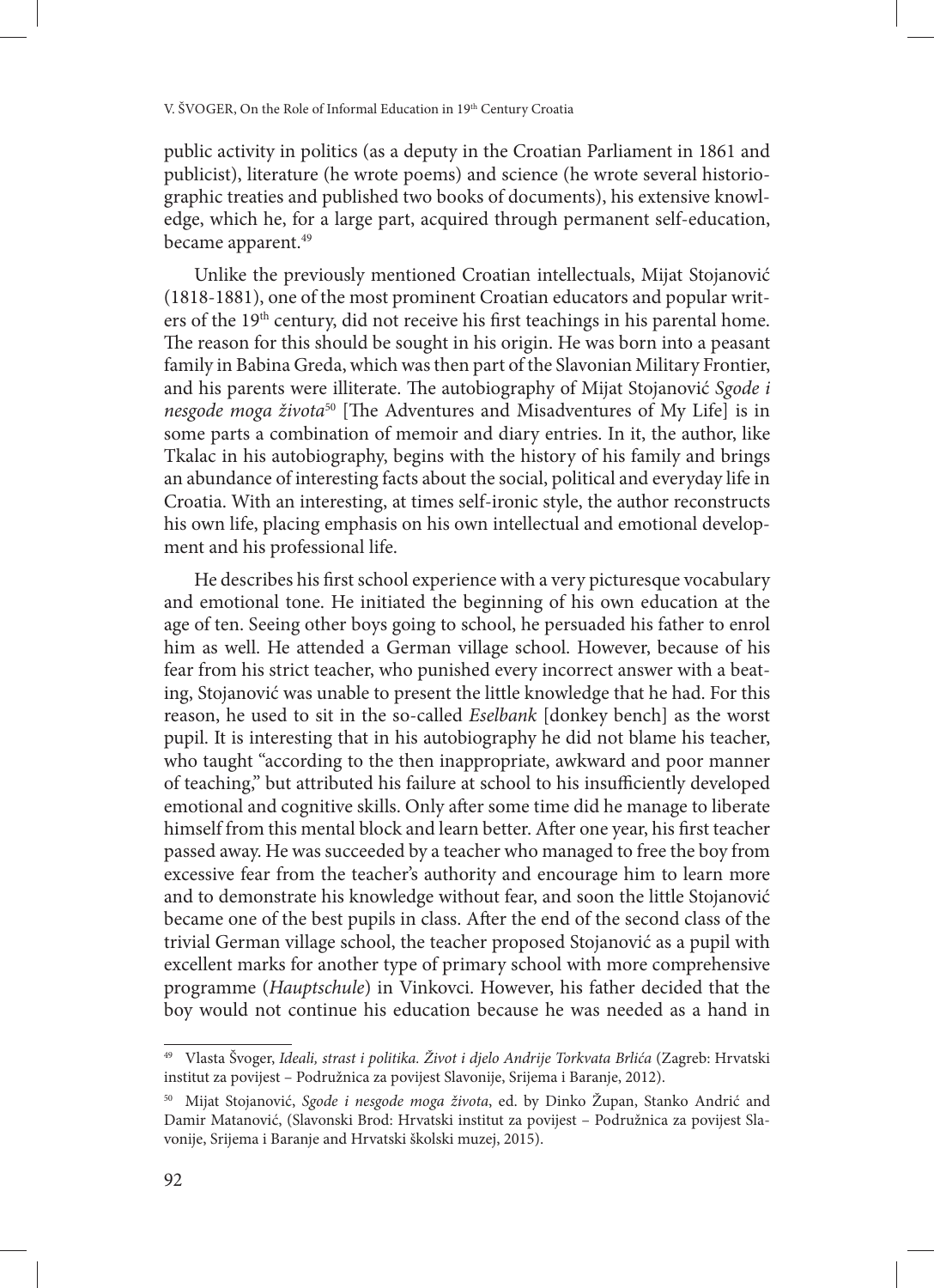public activity in politics (as a deputy in the Croatian Parliament in 1861 and publicist), literature (he wrote poems) and science (he wrote several historiographic treaties and published two books of documents), his extensive knowledge, which he, for a large part, acquired through permanent self-education, became apparent.<sup>49</sup>

Unlike the previously mentioned Croatian intellectuals, Mijat Stojanović (1818-1881), one of the most prominent Croatian educators and popular writers of the 19<sup>th</sup> century, did not receive his first teachings in his parental home. The reason for this should be sought in his origin. He was born into a peasant family in Babina Greda, which was then part of the Slavonian Military Frontier, and his parents were illiterate. The autobiography of Mijat Stojanović *Sgode i nesgode moga života*50 [The Adventures and Misadventures of My Life] is in some parts a combination of memoir and diary entries. In it, the author, like Tkalac in his autobiography, begins with the history of his family and brings an abundance of interesting facts about the social, political and everyday life in Croatia. With an interesting, at times self-ironic style, the author reconstructs his own life, placing emphasis on his own intellectual and emotional development and his professional life.

He describes his first school experience with a very picturesque vocabulary and emotional tone. He initiated the beginning of his own education at the age of ten. Seeing other boys going to school, he persuaded his father to enrol him as well. He attended a German village school. However, because of his fear from his strict teacher, who punished every incorrect answer with a beating, Stojanović was unable to present the little knowledge that he had. For this reason, he used to sit in the so-called *Eselbank* [donkey bench] as the worst pupil. It is interesting that in his autobiography he did not blame his teacher, who taught "according to the then inappropriate, awkward and poor manner of teaching," but attributed his failure at school to his insufficiently developed emotional and cognitive skills. Only after some time did he manage to liberate himself from this mental block and learn better. After one year, his first teacher passed away. He was succeeded by a teacher who managed to free the boy from excessive fear from the teacher's authority and encourage him to learn more and to demonstrate his knowledge without fear, and soon the little Stojanović became one of the best pupils in class. After the end of the second class of the trivial German village school, the teacher proposed Stojanović as a pupil with excellent marks for another type of primary school with more comprehensive programme (*Hauptschule*) in Vinkovci. However, his father decided that the boy would not continue his education because he was needed as a hand in

<sup>49</sup> Vlasta Švoger, *Ideali, strast i politika. Život i djelo Andrije Torkvata Brlića* (Zagreb: Hrvatski institut za povijest – Podružnica za povijest Slavonije, Srijema i Baranje, 2012).

<sup>50</sup> Mijat Stojanović, *Sgode i nesgode moga života*, ed. by Dinko Župan, Stanko Andrić and Damir Matanović, (Slavonski Brod: Hrvatski institut za povijest – Podružnica za povijest Slavonije, Srijema i Baranje and Hrvatski školski muzej, 2015).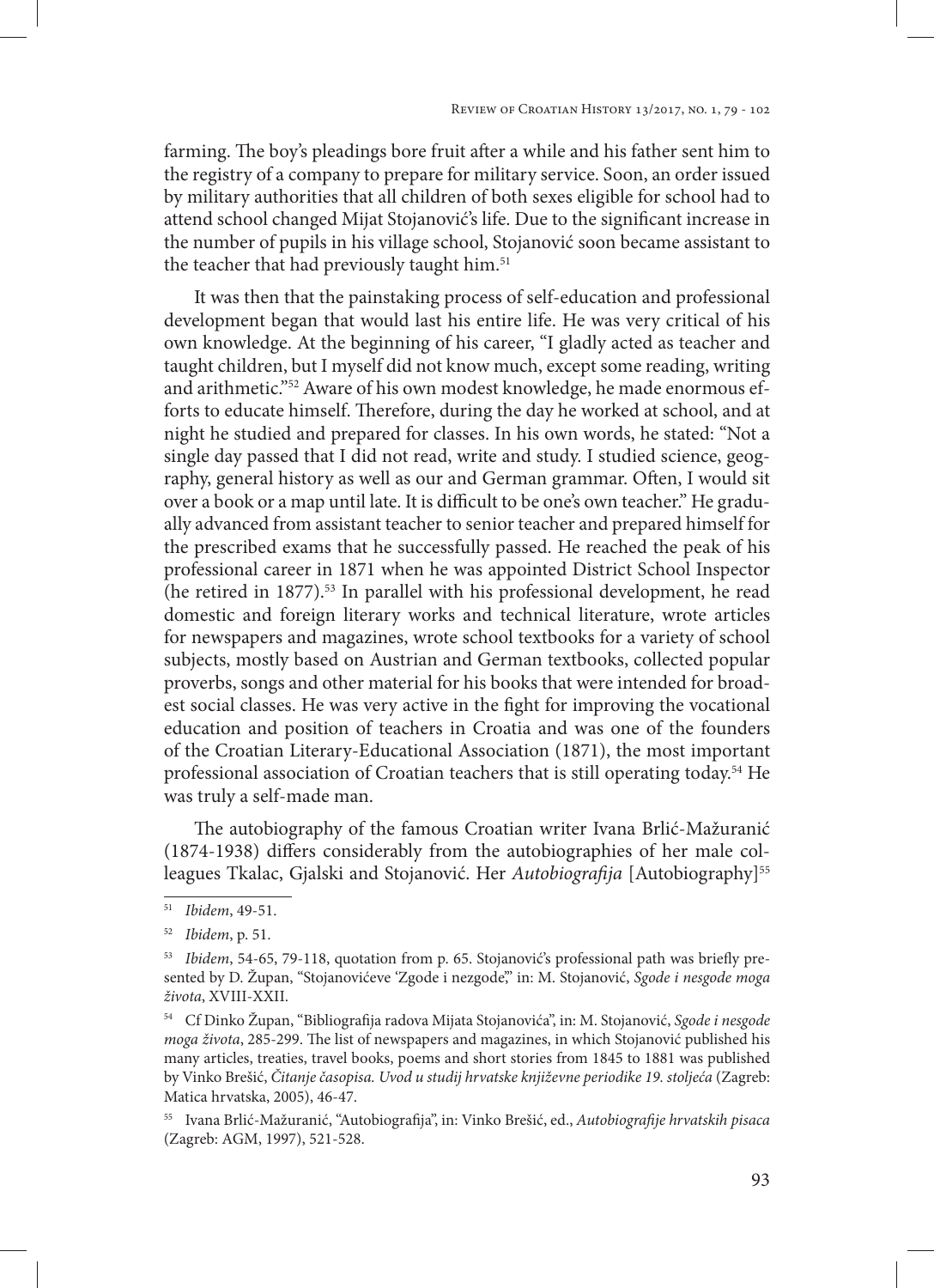farming. The boy's pleadings bore fruit after a while and his father sent him to the registry of a company to prepare for military service. Soon, an order issued by military authorities that all children of both sexes eligible for school had to attend school changed Mijat Stojanović's life. Due to the significant increase in the number of pupils in his village school, Stojanović soon became assistant to the teacher that had previously taught him.<sup>51</sup>

It was then that the painstaking process of self-education and professional development began that would last his entire life. He was very critical of his own knowledge. At the beginning of his career, "I gladly acted as teacher and taught children, but I myself did not know much, except some reading, writing and arithmetic."52 Aware of his own modest knowledge, he made enormous efforts to educate himself. Therefore, during the day he worked at school, and at night he studied and prepared for classes. In his own words, he stated: "Not a single day passed that I did not read, write and study. I studied science, geography, general history as well as our and German grammar. Often, I would sit over a book or a map until late. It is difficult to be one's own teacher." He gradually advanced from assistant teacher to senior teacher and prepared himself for the prescribed exams that he successfully passed. He reached the peak of his professional career in 1871 when he was appointed District School Inspector (he retired in 1877).53 In parallel with his professional development, he read domestic and foreign literary works and technical literature, wrote articles for newspapers and magazines, wrote school textbooks for a variety of school subjects, mostly based on Austrian and German textbooks, collected popular proverbs, songs and other material for his books that were intended for broadest social classes. He was very active in the fight for improving the vocational education and position of teachers in Croatia and was one of the founders of the Croatian Literary-Educational Association (1871), the most important professional association of Croatian teachers that is still operating today.54 He was truly a self-made man.

The autobiography of the famous Croatian writer Ivana Brlić-Mažuranić (1874-1938) differs considerably from the autobiographies of her male colleagues Tkalac, Gjalski and Stojanović. Her Autobiografija [Autobiography]<sup>55</sup>

<sup>51</sup> *Ibidem*, 49-51.

<sup>52</sup> *Ibidem*, p. 51.

<sup>53</sup> *Ibidem*, 54-65, 79-118, quotation from p. 65. Stojanović's professional path was briefly presented by D. Župan, "Stojanovićeve 'Zgode i nezgode'," in: M. Stojanović, *Sgode i nesgode moga života*, XVIII-XXII.

<sup>54</sup> Cf Dinko Župan, "Bibliografija radova Mijata Stojanovića", in: M. Stojanović, *Sgode i nesgode moga života*, 285-299. The list of newspapers and magazines, in which Stojanović published his many articles, treaties, travel books, poems and short stories from 1845 to 1881 was published by Vinko Brešić, *Čitanje časopisa. Uvod u studij hrvatske književne periodike 19. stoljeća* (Zagreb: Matica hrvatska, 2005), 46-47.

<sup>55</sup> Ivana Brlić-Mažuranić, "Autobiografija", in: Vinko Brešić, ed., *Autobiografije hrvatskih pisaca* (Zagreb: AGM, 1997), 521-528.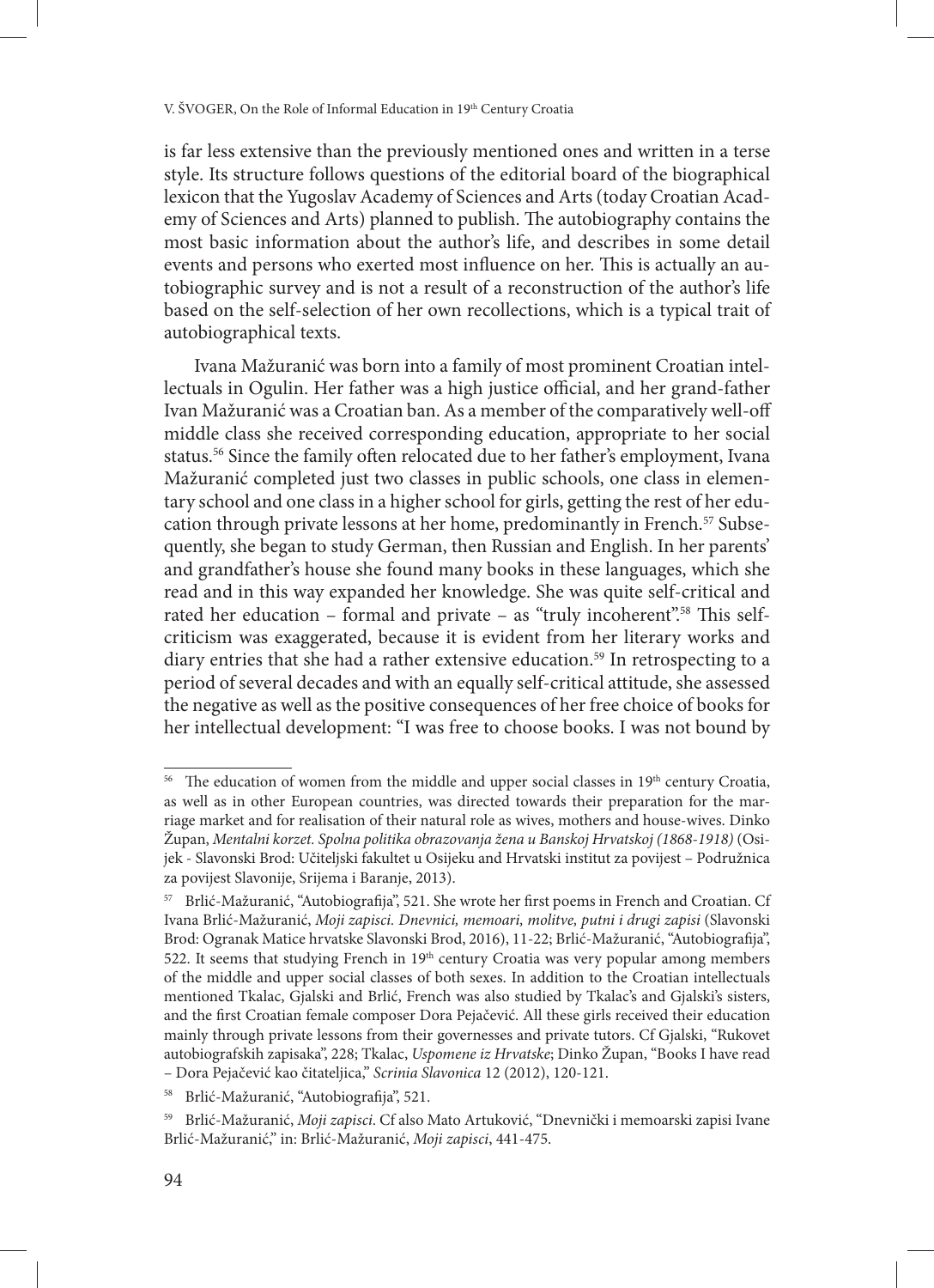is far less extensive than the previously mentioned ones and written in a terse style. Its structure follows questions of the editorial board of the biographical lexicon that the Yugoslav Academy of Sciences and Arts (today Croatian Academy of Sciences and Arts) planned to publish. The autobiography contains the most basic information about the author's life, and describes in some detail events and persons who exerted most influence on her. This is actually an autobiographic survey and is not a result of a reconstruction of the author's life based on the self-selection of her own recollections, which is a typical trait of autobiographical texts.

Ivana Mažuranić was born into a family of most prominent Croatian intellectuals in Ogulin. Her father was a high justice official, and her grand-father Ivan Mažuranić was a Croatian ban. As a member of the comparatively well-off middle class she received corresponding education, appropriate to her social status.<sup>56</sup> Since the family often relocated due to her father's employment, Ivana Mažuranić completed just two classes in public schools, one class in elementary school and one class in a higher school for girls, getting the rest of her education through private lessons at her home, predominantly in French.<sup>57</sup> Subsequently, she began to study German, then Russian and English. In her parents' and grandfather's house she found many books in these languages, which she read and in this way expanded her knowledge. She was quite self-critical and rated her education – formal and private – as "truly incoherent".<sup>58</sup> This selfcriticism was exaggerated, because it is evident from her literary works and diary entries that she had a rather extensive education.<sup>59</sup> In retrospecting to a period of several decades and with an equally self-critical attitude, she assessed the negative as well as the positive consequences of her free choice of books for her intellectual development: "I was free to choose books. I was not bound by

<sup>&</sup>lt;sup>56</sup> The education of women from the middle and upper social classes in  $19<sup>th</sup>$  century Croatia, as well as in other European countries, was directed towards their preparation for the marriage market and for realisation of their natural role as wives, mothers and house-wives. Dinko Župan, *Mentalni korzet. Spolna politika obrazovanja žena u Banskoj Hrvatskoj (1868-1918)* (Osijek - Slavonski Brod: Učiteljski fakultet u Osijeku and Hrvatski institut za povijest – Podružnica za povijest Slavonije, Srijema i Baranje, 2013).

<sup>57</sup> Brlić-Mažuranić, "Autobiografija", 521. She wrote her first poems in French and Croatian. Cf Ivana Brlić-Mažuranić, *Moji zapisci. Dnevnici, memoari, molitve, putni i drugi zapisi* (Slavonski Brod: Ogranak Matice hrvatske Slavonski Brod, 2016), 11-22; Brlić-Mažuranić, "Autobiografija", 522. It seems that studying French in 19<sup>th</sup> century Croatia was very popular among members of the middle and upper social classes of both sexes. In addition to the Croatian intellectuals mentioned Tkalac, Gjalski and Brlić, French was also studied by Tkalac's and Gjalski's sisters, and the first Croatian female composer Dora Pejačević. All these girls received their education mainly through private lessons from their governesses and private tutors. Cf Gjalski, "Rukovet autobiografskih zapisaka", 228; Tkalac, *Uspomene iz Hrvatske*; Dinko Župan, "Books I have read – Dora Pejačević kao čitateljica," *Scrinia Slavonica* 12 (2012), 120-121.

<sup>58</sup> Brlić-Mažuranić, "Autobiografija", 521.

<sup>59</sup> Brlić-Mažuranić, *Moji zapisci*. Cf also Mato Artuković, "Dnevnički i memoarski zapisi Ivane Brlić-Mažuranić," in: Brlić-Mažuranić, *Moji zapisci*, 441-475.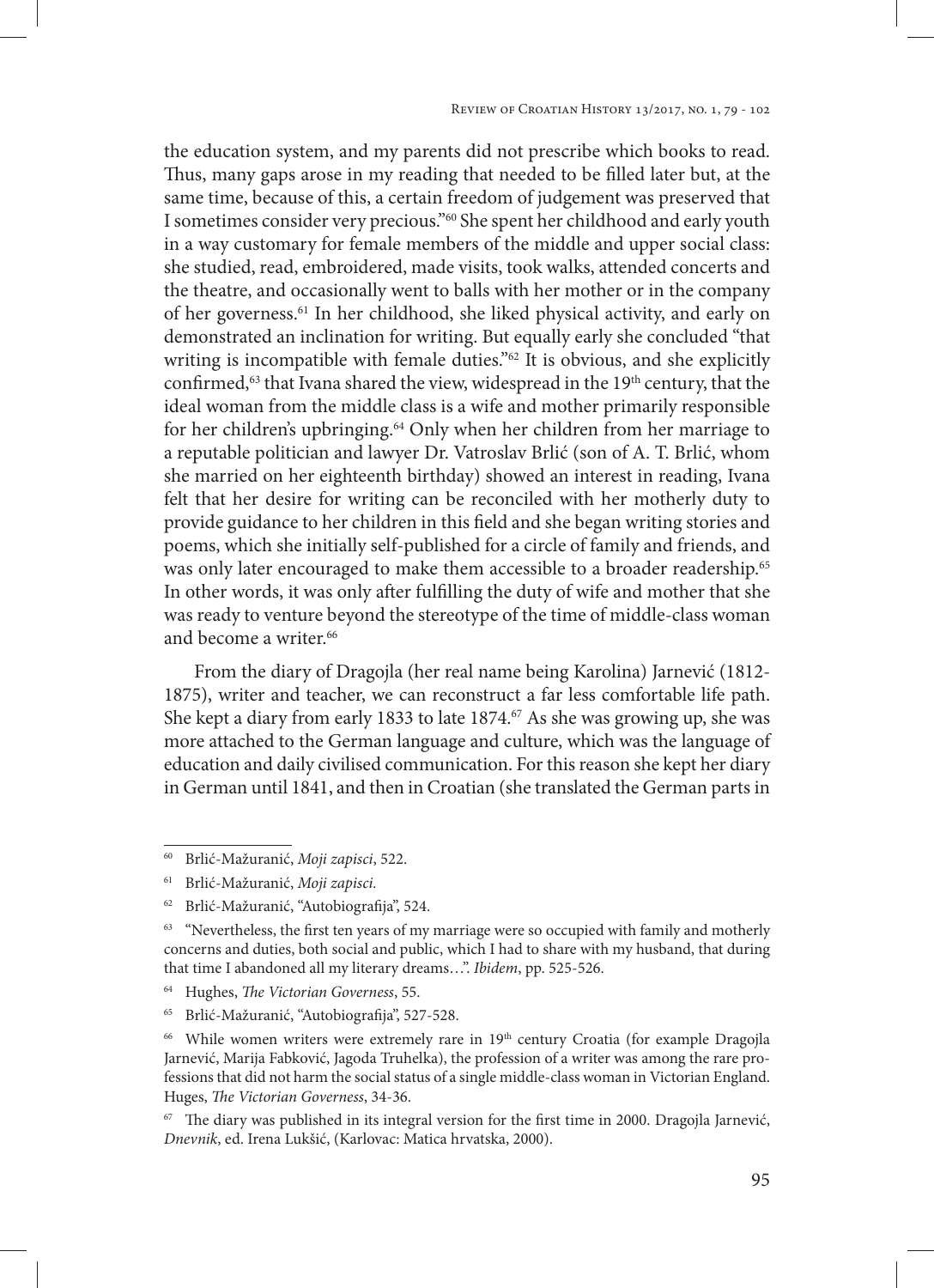the education system, and my parents did not prescribe which books to read. Thus, many gaps arose in my reading that needed to be filled later but, at the same time, because of this, a certain freedom of judgement was preserved that I sometimes consider very precious."60 She spent her childhood and early youth in a way customary for female members of the middle and upper social class: she studied, read, embroidered, made visits, took walks, attended concerts and the theatre, and occasionally went to balls with her mother or in the company of her governess.61 In her childhood, she liked physical activity, and early on demonstrated an inclination for writing. But equally early she concluded "that writing is incompatible with female duties."<sup>62</sup> It is obvious, and she explicitly confirmed, $63$  that Ivana shared the view, widespread in the  $19<sup>th</sup>$  century, that the ideal woman from the middle class is a wife and mother primarily responsible for her children's upbringing.64 Only when her children from her marriage to a reputable politician and lawyer Dr. Vatroslav Brlić (son of A. T. Brlić, whom she married on her eighteenth birthday) showed an interest in reading, Ivana felt that her desire for writing can be reconciled with her motherly duty to provide guidance to her children in this field and she began writing stories and poems, which she initially self-published for a circle of family and friends, and was only later encouraged to make them accessible to a broader readership.<sup>65</sup> In other words, it was only after fulfilling the duty of wife and mother that she was ready to venture beyond the stereotype of the time of middle-class woman and become a writer.<sup>66</sup>

From the diary of Dragojla (her real name being Karolina) Jarnević (1812- 1875), writer and teacher, we can reconstruct a far less comfortable life path. She kept a diary from early 1833 to late 1874.<sup>67</sup> As she was growing up, she was more attached to the German language and culture, which was the language of education and daily civilised communication. For this reason she kept her diary in German until 1841, and then in Croatian (she translated the German parts in

<sup>60</sup> Brlić-Mažuranić, *Moji zapisci*, 522.

<sup>61</sup> Brlić-Mažuranić, *Moji zapisci.*

<sup>62</sup> Brlić-Mažuranić, "Autobiografija", 524.

<sup>&</sup>lt;sup>63</sup> "Nevertheless, the first ten years of my marriage were so occupied with family and motherly concerns and duties, both social and public, which I had to share with my husband, that during that time I abandoned all my literary dreams…". *Ibidem*, pp. 525-526.

<sup>64</sup> Hughes, *The Victorian Governess*, 55.

<sup>65</sup> Brlić-Mažuranić, "Autobiografija", 527-528.

<sup>&</sup>lt;sup>66</sup> While women writers were extremely rare in 19<sup>th</sup> century Croatia (for example Dragojla Jarnević, Marija Fabković, Jagoda Truhelka), the profession of a writer was among the rare professions that did not harm the social status of a single middle-class woman in Victorian England. Huges, *The Victorian Governess*, 34-36.

 $67$  The diary was published in its integral version for the first time in 2000. Dragojla Jarnević, *Dnevnik*, ed. Irena Lukšić, (Karlovac: Matica hrvatska, 2000).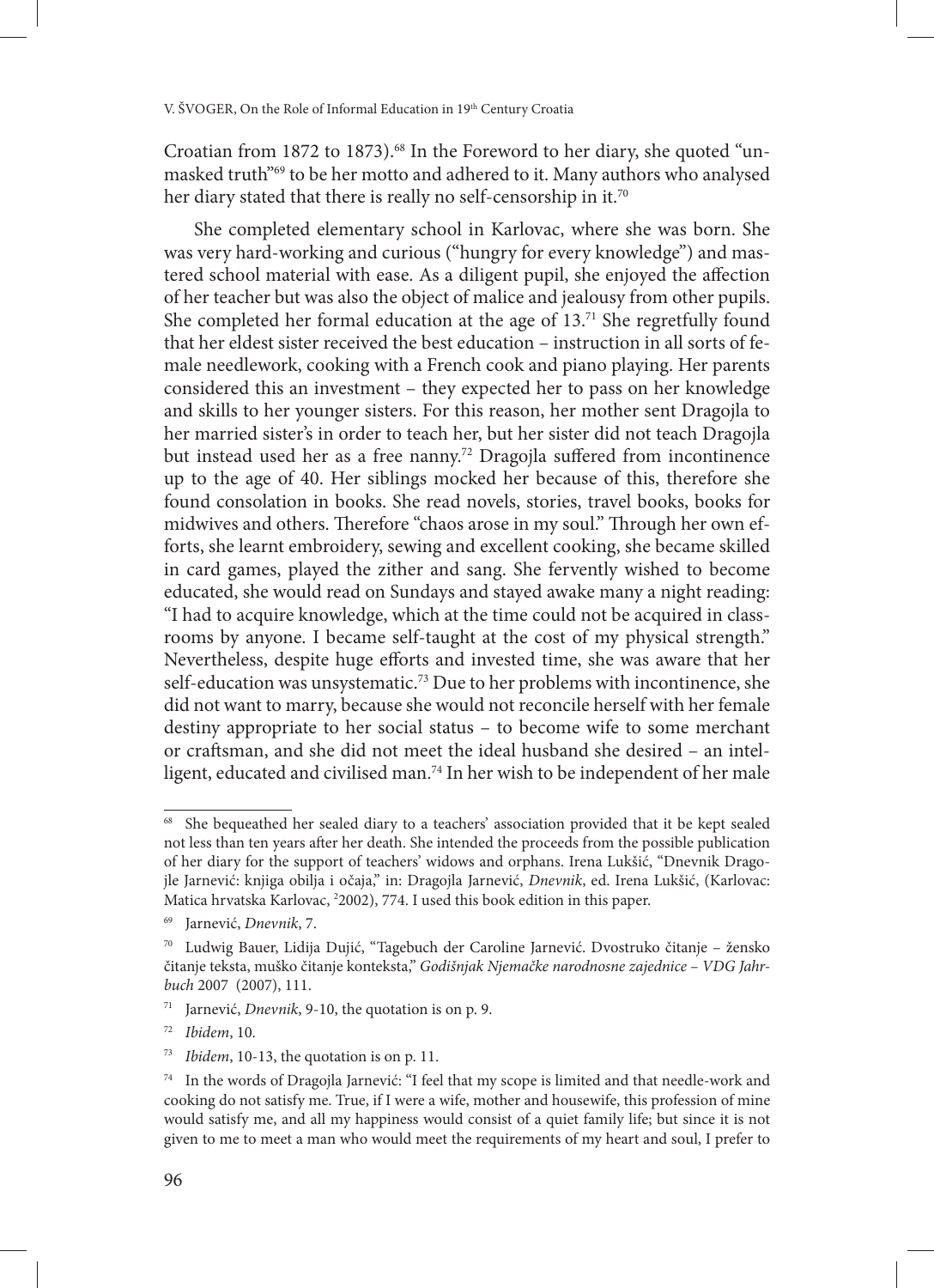Croatian from 1872 to 1873).<sup>68</sup> In the Foreword to her diary, she quoted "unmasked truth"69 to be her motto and adhered to it. Many authors who analysed her diary stated that there is really no self-censorship in it.<sup>70</sup>

She completed elementary school in Karlovac, where she was born. She was very hard-working and curious ("hungry for every knowledge") and mastered school material with ease. As a diligent pupil, she enjoyed the affection of her teacher but was also the object of malice and jealousy from other pupils. She completed her formal education at the age of  $13<sup>71</sup>$  She regretfully found that her eldest sister received the best education – instruction in all sorts of female needlework, cooking with a French cook and piano playing. Her parents considered this an investment – they expected her to pass on her knowledge and skills to her younger sisters. For this reason, her mother sent Dragojla to her married sister's in order to teach her, but her sister did not teach Dragojla but instead used her as a free nanny.<sup>72</sup> Dragojla suffered from incontinence up to the age of 40. Her siblings mocked her because of this, therefore she found consolation in books. She read novels, stories, travel books, books for midwives and others. Therefore "chaos arose in my soul." Through her own efforts, she learnt embroidery, sewing and excellent cooking, she became skilled in card games, played the zither and sang. She fervently wished to become educated, she would read on Sundays and stayed awake many a night reading: "I had to acquire knowledge, which at the time could not be acquired in classrooms by anyone. I became self-taught at the cost of my physical strength." Nevertheless, despite huge efforts and invested time, she was aware that her self-education was unsystematic.<sup>73</sup> Due to her problems with incontinence, she did not want to marry, because she would not reconcile herself with her female destiny appropriate to her social status – to become wife to some merchant or craftsman, and she did not meet the ideal husband she desired – an intelligent, educated and civilised man.<sup>74</sup> In her wish to be independent of her male

<sup>&</sup>lt;sup>68</sup> She bequeathed her sealed diary to a teachers' association provided that it be kept sealed not less than ten years after her death. She intended the proceeds from the possible publication of her diary for the support of teachers' widows and orphans. Irena Lukšić, "Dnevnik Dragojle Jarnević: knjiga obilja i očaja," in: Dragojla Jarnević, *Dnevnik*, ed. Irena Lukšić, (Karlovac: Matica hrvatska Karlovac, 2 2002), 774. I used this book edition in this paper.

<sup>69</sup> Jarnević, *Dnevnik*, 7.

<sup>70</sup> Ludwig Bauer, Lidija Dujić, "Tagebuch der Caroline Jarnević. Dvostruko čitanje – žensko čitanje teksta, muško čitanje konteksta," *Godišnjak Njemačke narodnosne zajednice – VDG Jahrbuch* 2007 (2007), 111.

<sup>71</sup> Jarnević, *Dnevnik*, 9-10, the quotation is on p. 9.

<sup>72</sup> *Ibidem*, 10.

<sup>73</sup> *Ibidem*, 10-13, the quotation is on p. 11.

<sup>74</sup> In the words of Dragojla Jarnević: "I feel that my scope is limited and that needle-work and cooking do not satisfy me. True, if I were a wife, mother and housewife, this profession of mine would satisfy me, and all my happiness would consist of a quiet family life; but since it is not given to me to meet a man who would meet the requirements of my heart and soul, I prefer to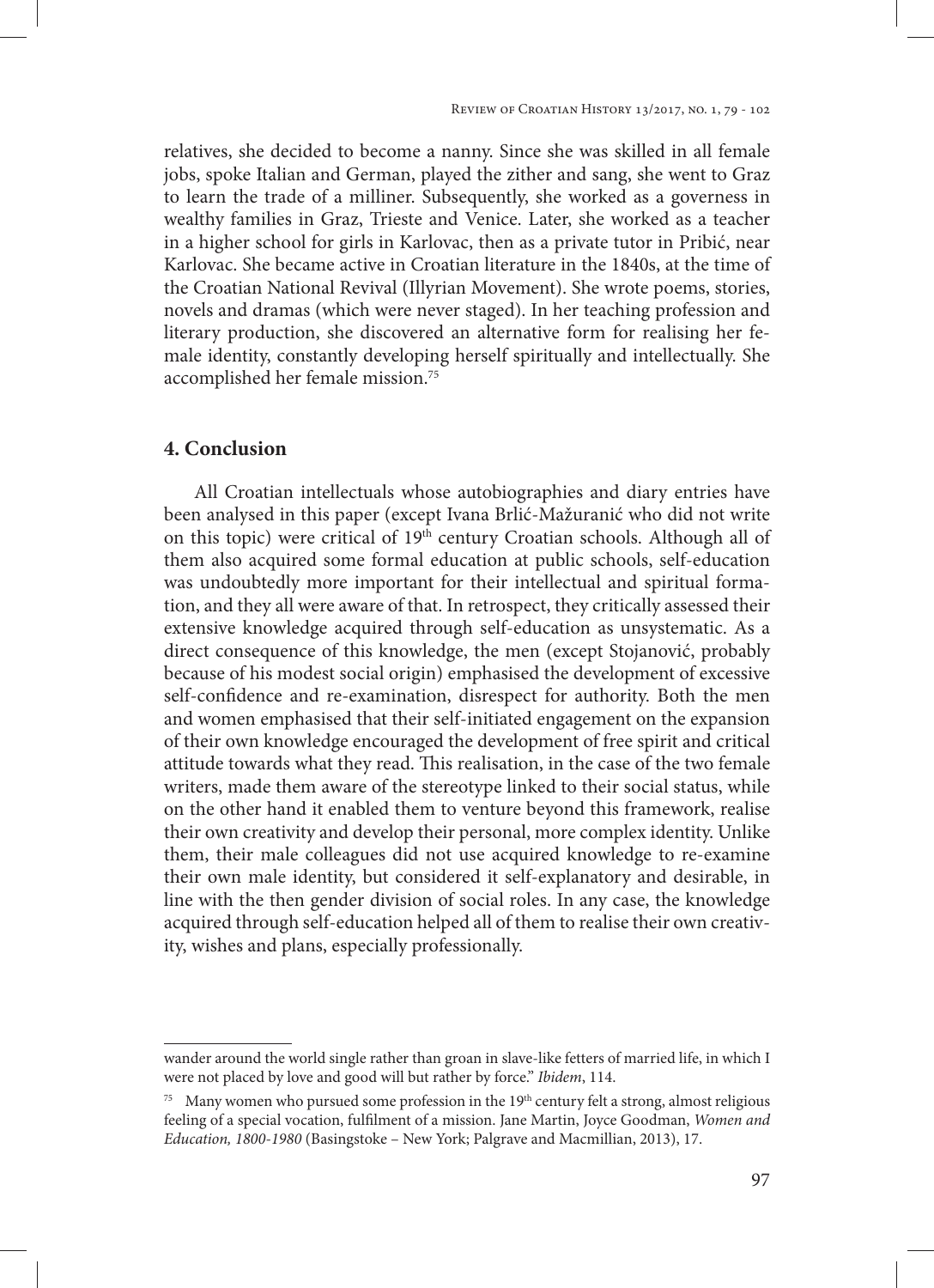relatives, she decided to become a nanny. Since she was skilled in all female jobs, spoke Italian and German, played the zither and sang, she went to Graz to learn the trade of a milliner. Subsequently, she worked as a governess in wealthy families in Graz, Trieste and Venice. Later, she worked as a teacher in a higher school for girls in Karlovac, then as a private tutor in Pribić, near Karlovac. She became active in Croatian literature in the 1840s, at the time of the Croatian National Revival (Illyrian Movement). She wrote poems, stories, novels and dramas (which were never staged). In her teaching profession and literary production, she discovered an alternative form for realising her female identity, constantly developing herself spiritually and intellectually. She accomplished her female mission.75

# **4. Conclusion**

All Croatian intellectuals whose autobiographies and diary entries have been analysed in this paper (except Ivana Brlić-Mažuranić who did not write on this topic) were critical of 19<sup>th</sup> century Croatian schools. Although all of them also acquired some formal education at public schools, self-education was undoubtedly more important for their intellectual and spiritual formation, and they all were aware of that. In retrospect, they critically assessed their extensive knowledge acquired through self-education as unsystematic. As a direct consequence of this knowledge, the men (except Stojanović, probably because of his modest social origin) emphasised the development of excessive self-confidence and re-examination, disrespect for authority. Both the men and women emphasised that their self-initiated engagement on the expansion of their own knowledge encouraged the development of free spirit and critical attitude towards what they read. This realisation, in the case of the two female writers, made them aware of the stereotype linked to their social status, while on the other hand it enabled them to venture beyond this framework, realise their own creativity and develop their personal, more complex identity. Unlike them, their male colleagues did not use acquired knowledge to re-examine their own male identity, but considered it self-explanatory and desirable, in line with the then gender division of social roles. In any case, the knowledge acquired through self-education helped all of them to realise their own creativity, wishes and plans, especially professionally.

wander around the world single rather than groan in slave-like fetters of married life, in which I were not placed by love and good will but rather by force." *Ibidem*, 114.

 $75$  Many women who pursued some profession in the 19<sup>th</sup> century felt a strong, almost religious feeling of a special vocation, fulfilment of a mission. Jane Martin, Joyce Goodman, *Women and Education, 1800-1980* (Basingstoke – New York; Palgrave and Macmillian, 2013), 17.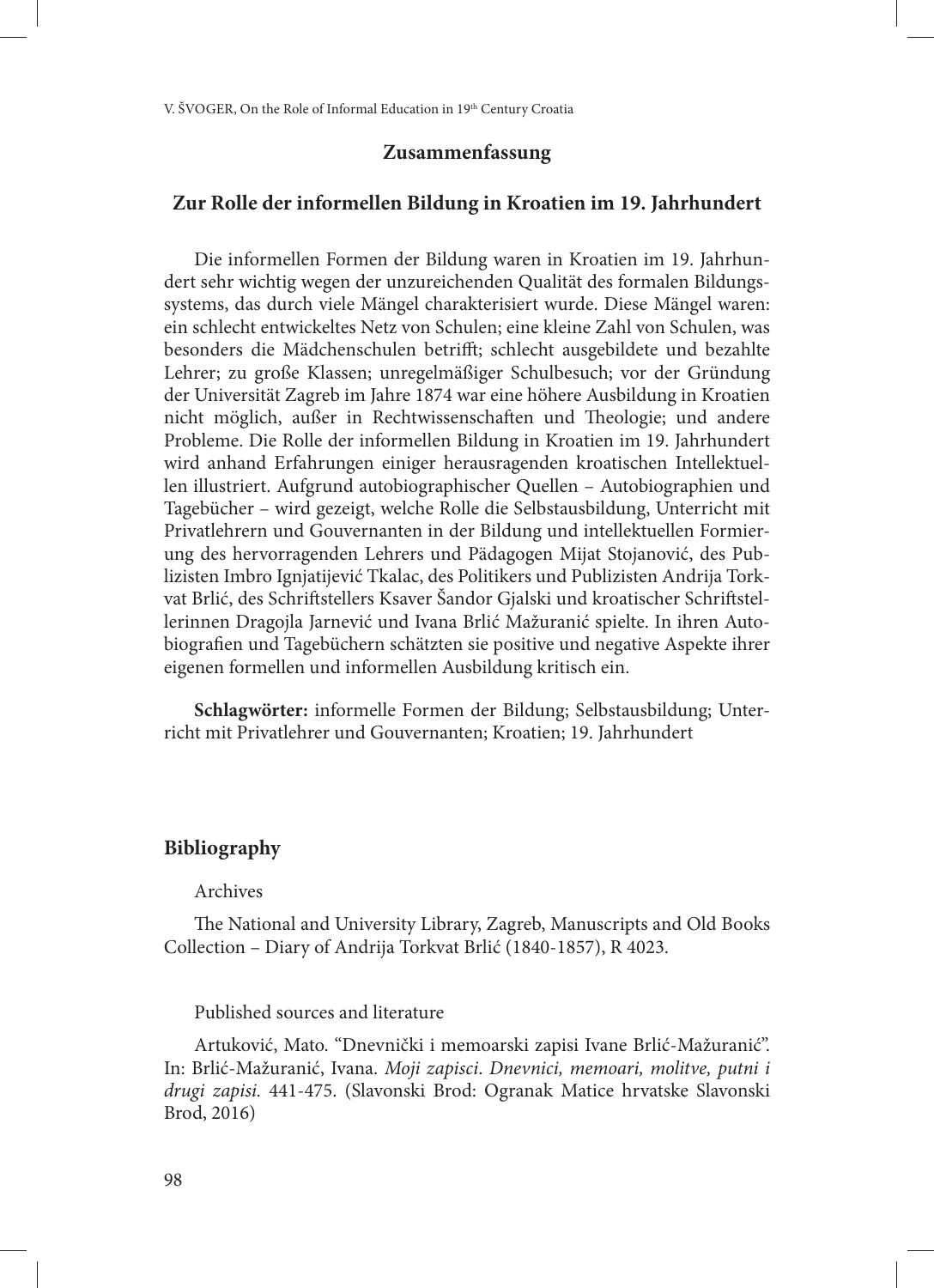# **Zusammenfassung**

## **Zur Rolle der informellen Bildung in Kroatien im 19. Jahrhundert**

Die informellen Formen der Bildung waren in Kroatien im 19. Jahrhundert sehr wichtig wegen der unzureichenden Qualität des formalen Bildungssystems, das durch viele Mängel charakterisiert wurde. Diese Mängel waren: ein schlecht entwickeltes Netz von Schulen; eine kleine Zahl von Schulen, was besonders die Mädchenschulen betrifft; schlecht ausgebildete und bezahlte Lehrer; zu große Klassen; unregelmäßiger Schulbesuch; vor der Gründung der Universität Zagreb im Jahre 1874 war eine höhere Ausbildung in Kroatien nicht möglich, außer in Rechtwissenschaften und Theologie; und andere Probleme. Die Rolle der informellen Bildung in Kroatien im 19. Jahrhundert wird anhand Erfahrungen einiger herausragenden kroatischen Intellektuellen illustriert. Aufgrund autobiographischer Quellen – Autobiographien und Tagebücher – wird gezeigt, welche Rolle die Selbstausbildung, Unterricht mit Privatlehrern und Gouvernanten in der Bildung und intellektuellen Formierung des hervorragenden Lehrers und Pädagogen Mijat Stojanović, des Publizisten Imbro Ignjatijević Tkalac, des Politikers und Publizisten Andrija Torkvat Brlić, des Schriftstellers Ksaver Šandor Gjalski und kroatischer Schriftstellerinnen Dragojla Jarnević und Ivana Brlić Mažuranić spielte. In ihren Autobiografien und Tagebüchern schätzten sie positive und negative Aspekte ihrer eigenen formellen und informellen Ausbildung kritisch ein.

**Schlagwörter:** informelle Formen der Bildung; Selbstausbildung; Unterricht mit Privatlehrer und Gouvernanten; Kroatien; 19. Jahrhundert

## **Bibliography**

### Archives

The National and University Library, Zagreb, Manuscripts and Old Books Collection – Diary of Andrija Torkvat Brlić (1840-1857), R 4023.

# Published sources and literature

Artuković, Mato. "Dnevnički i memoarski zapisi Ivane Brlić-Mažuranić". In: Brlić-Mažuranić, Ivana. *Moji zapisci*. *Dnevnici, memoari, molitve, putni i drugi zapisi.* 441-475. (Slavonski Brod: Ogranak Matice hrvatske Slavonski Brod, 2016)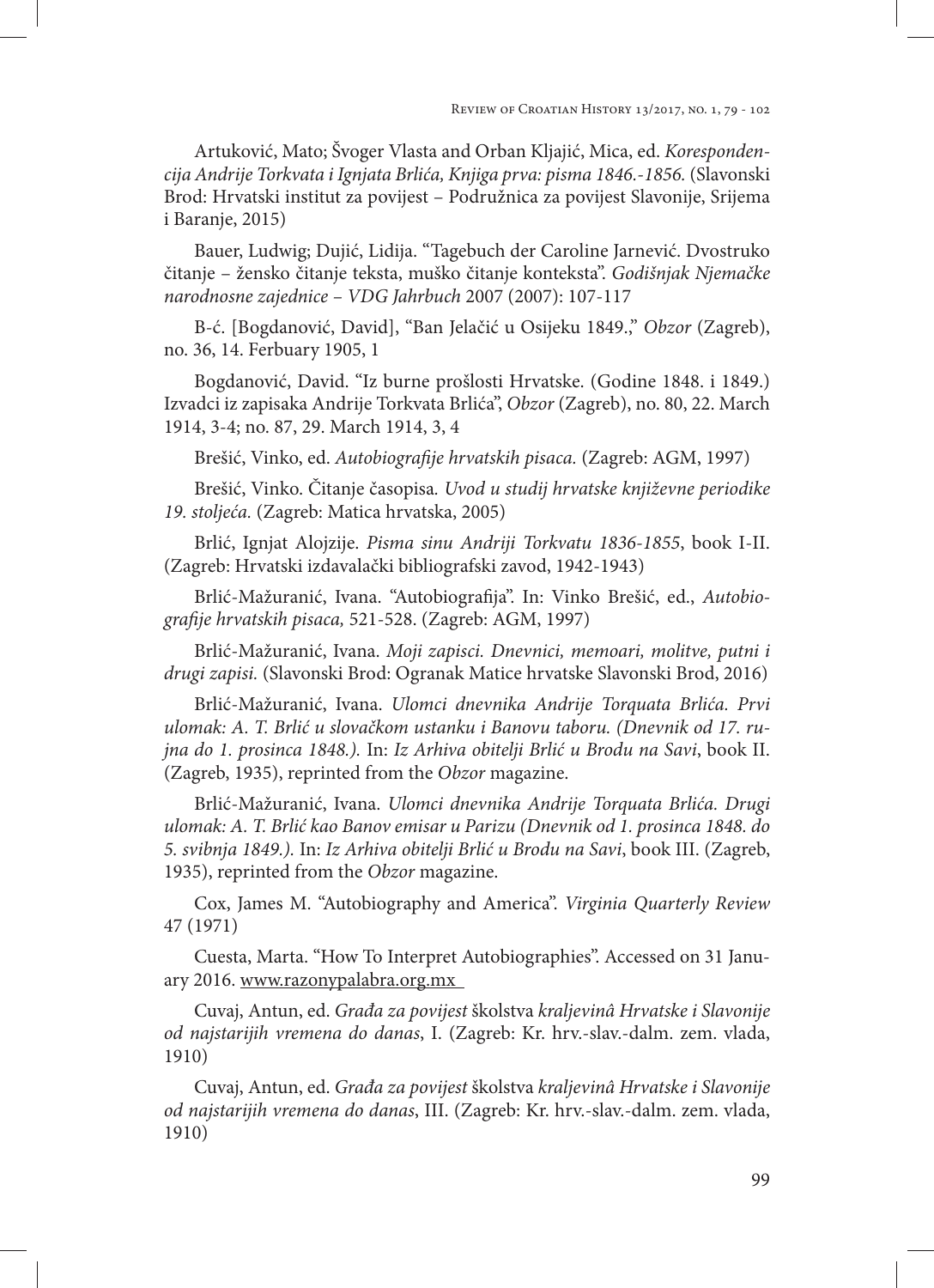Artuković, Mato; Švoger Vlasta and Orban Kljajić, Mica, ed. *Korespondencija Andrije Torkvata i Ignjata Brlića, Knjiga prva: pisma 1846.-1856.* (Slavonski Brod: Hrvatski institut za povijest – Podružnica za povijest Slavonije, Srijema i Baranje, 2015)

Bauer, Ludwig; Dujić, Lidija. "Tagebuch der Caroline Jarnević. Dvostruko čitanje – žensko čitanje teksta, muško čitanje konteksta". *Godišnjak Njemačke narodnosne zajednice – VDG Jahrbuch* 2007 (2007): 107-117

B-ć. [Bogdanović, David], "Ban Jelačić u Osijeku 1849.," *Obzor* (Zagreb), no. 36, 14. Ferbuary 1905, 1

Bogdanović, David. "Iz burne prošlosti Hrvatske. (Godine 1848. i 1849.) Izvadci iz zapisaka Andrije Torkvata Brlića", *Obzor* (Zagreb), no. 80, 22. March 1914, 3-4; no. 87, 29. March 1914, 3, 4

Brešić, Vinko, ed. *Autobiografije hrvatskih pisaca.* (Zagreb: AGM, 1997)

Brešić, Vinko. Čitanje časopisa*. Uvod u studij hrvatske književne periodike 19. stoljeća.* (Zagreb: Matica hrvatska, 2005)

Brlić, Ignjat Alojzije. *Pisma sinu Andriji Torkvatu 1836-1855*, book I-II. (Zagreb: Hrvatski izdavalački bibliografski zavod, 1942-1943)

Brlić-Mažuranić, Ivana. "Autobiografija". In: Vinko Brešić, ed., *Autobiografije hrvatskih pisaca,* 521-528. (Zagreb: AGM, 1997)

Brlić-Mažuranić, Ivana. *Moji zapisci. Dnevnici, memoari, molitve, putni i drugi zapisi.* (Slavonski Brod: Ogranak Matice hrvatske Slavonski Brod, 2016)

Brlić-Mažuranić, Ivana. *Ulomci dnevnika Andrije Torquata Brlića. Prvi ulomak: A. T. Brlić u slovačkom ustanku i Banovu taboru. (Dnevnik od 17. rujna do 1. prosinca 1848.).* In: *Iz Arhiva obitelji Brlić u Brodu na Savi*, book II. (Zagreb, 1935), reprinted from the *Obzor* magazine.

Brlić-Mažuranić, Ivana. *Ulomci dnevnika Andrije Torquata Brlića. Drugi ulomak: A. T. Brlić kao Banov emisar u Parizu (Dnevnik od 1. prosinca 1848. do 5. svibnja 1849.).* In: *Iz Arhiva obitelji Brlić u Brodu na Savi*, book III. (Zagreb, 1935), reprinted from the *Obzor* magazine.

Cox, James M. "Autobiography and America". *Virginia Quarterly Review* 47 (1971)

Cuesta, Marta. "How To Interpret Autobiographies". Accessed on 31 January 2016. www.razonypalabra.org.mx

Cuvaj, Antun, ed. *Građa za povijest* školstva *kraljevinâ Hrvatske i Slavonije od najstarijih vremena do danas*, I. (Zagreb: Kr. hrv.-slav.-dalm. zem. vlada, 1910)

Cuvaj, Antun, ed. *Građa za povijest* školstva *kraljevinâ Hrvatske i Slavonije od najstarijih vremena do danas*, III. (Zagreb: Kr. hrv.-slav.-dalm. zem. vlada, 1910)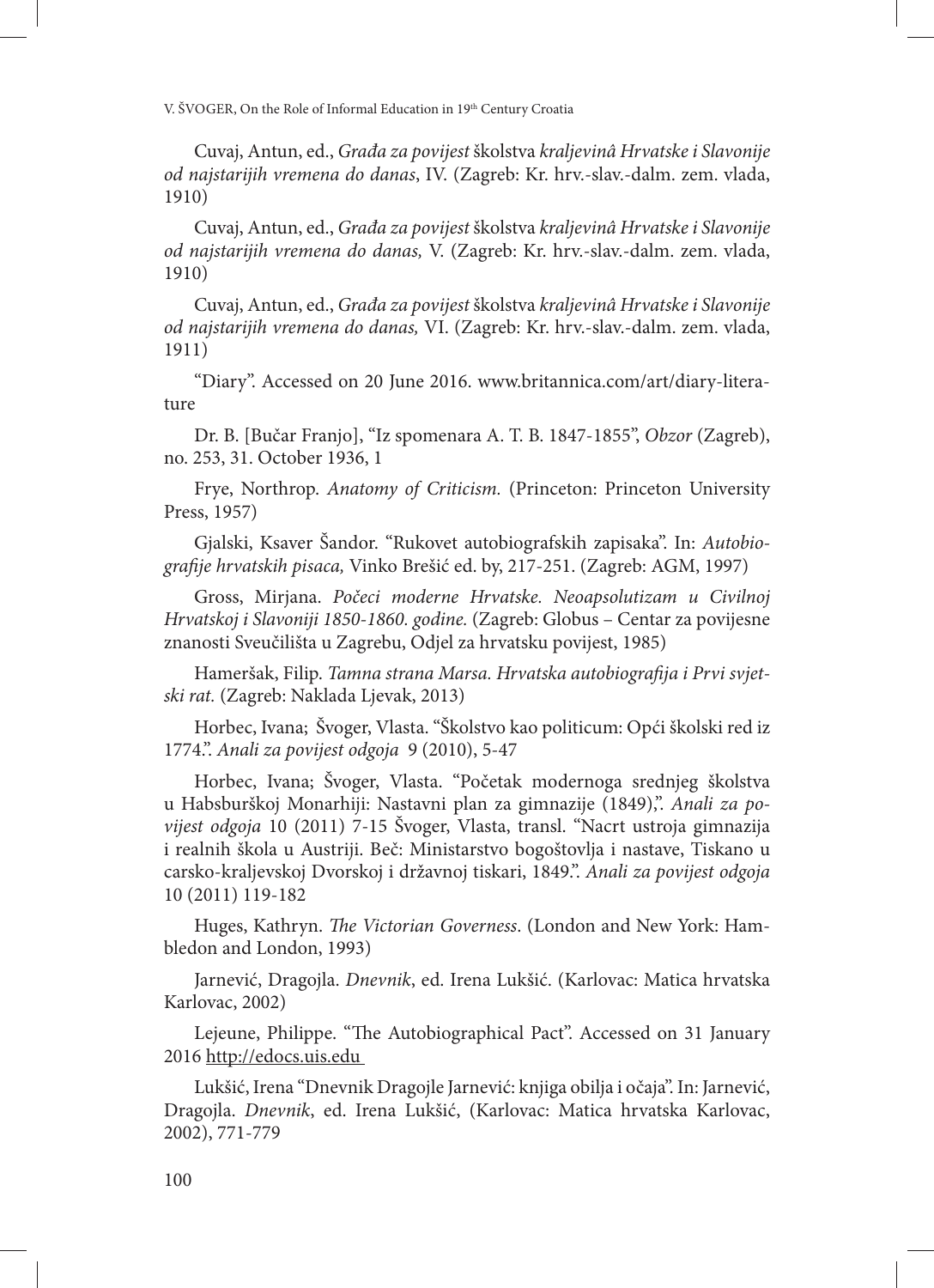Cuvaj, Antun, ed., *Građa za povijest* školstva *kraljevinâ Hrvatske i Slavonije od najstarijih vremena do danas*, IV. (Zagreb: Kr. hrv.-slav.-dalm. zem. vlada, 1910)

Cuvaj, Antun, ed., *Građa za povijest* školstva *kraljevinâ Hrvatske i Slavonije od najstarijih vremena do danas,* V. (Zagreb: Kr. hrv.-slav.-dalm. zem. vlada, 1910)

Cuvaj, Antun, ed., *Građa za povijest* školstva *kraljevinâ Hrvatske i Slavonije od najstarijih vremena do danas,* VI. (Zagreb: Kr. hrv.-slav.-dalm. zem. vlada, 1911)

"Diary". Accessed on 20 June 2016. www.britannica.com/art/diary-literature

Dr. B. [Bučar Franjo], "Iz spomenara A. T. B. 1847-1855", *Obzor* (Zagreb), no. 253, 31. October 1936, 1

Frye, Northrop. *Anatomy of Criticism.* (Princeton: Princeton University Press, 1957)

Gjalski, Ksaver Šandor. "Rukovet autobiografskih zapisaka". In: *Autobiografije hrvatskih pisaca,* Vinko Brešić ed. by, 217-251. (Zagreb: AGM, 1997)

Gross, Mirjana. *Počeci moderne Hrvatske. Neoapsolutizam u Civilnoj Hrvatskoj i Slavoniji 1850-1860. godine.* (Zagreb: Globus – Centar za povijesne znanosti Sveučilišta u Zagrebu, Odjel za hrvatsku povijest, 1985)

Hameršak, Filip. *Tamna strana Marsa. Hrvatska autobiografija i Prvi svjetski rat.* (Zagreb: Naklada Ljevak, 2013)

Horbec, Ivana; Švoger, Vlasta. "Školstvo kao politicum: Opći školski red iz 1774.". *Anali za povijest odgoja* 9 (2010), 5-47

Horbec, Ivana; Švoger, Vlasta. "Početak modernoga srednjeg školstva u Habsburškoj Monarhiji: Nastavni plan za gimnazije (1849),". *Anali za povijest odgoja* 10 (2011) 7-15 Švoger, Vlasta, transl. "Nacrt ustroja gimnazija i realnih škola u Austriji. Beč: Ministarstvo bogoštovlja i nastave, Tiskano u carsko-kraljevskoj Dvorskoj i državnoj tiskari, 1849.". *Anali za povijest odgoja* 10 (2011) 119-182

Huges, Kathryn. *The Victorian Governess*. (London and New York: Hambledon and London, 1993)

Jarnević, Dragojla. *Dnevnik*, ed. Irena Lukšić. (Karlovac: Matica hrvatska Karlovac, 2002)

Lejeune, Philippe. "The Autobiographical Pact". Accessed on 31 January 2016 http://edocs.uis.edu

Lukšić, Irena "Dnevnik Dragojle Jarnević: knjiga obilja i očaja". In: Jarnević, Dragojla. *Dnevnik*, ed. Irena Lukšić, (Karlovac: Matica hrvatska Karlovac, 2002), 771-779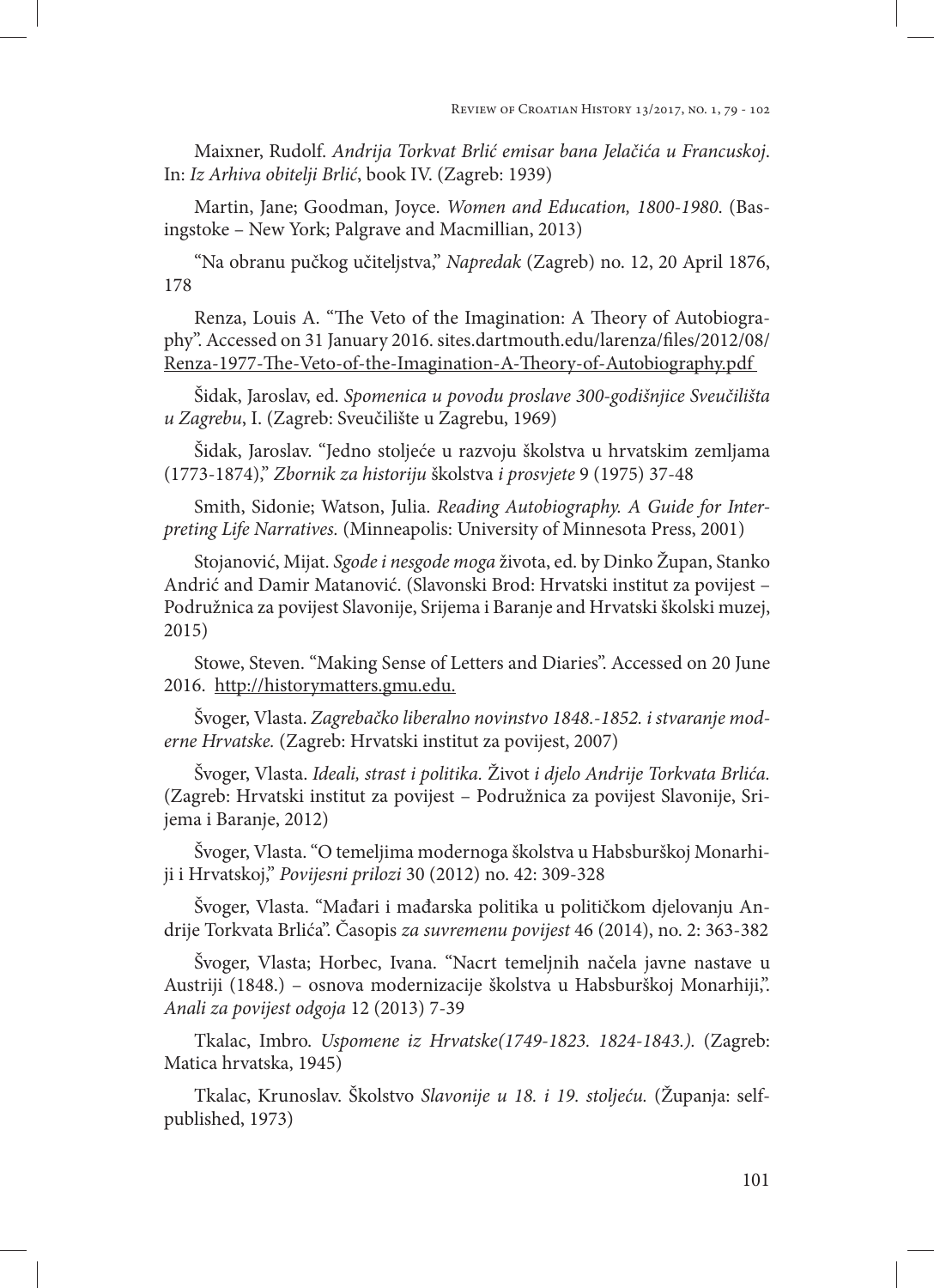Maixner, Rudolf. *Andrija Torkvat Brlić emisar bana Jelačića u Francuskoj*. In: *Iz Arhiva obitelji Brlić*, book IV. (Zagreb: 1939)

Martin, Jane; Goodman, Joyce. *Women and Education, 1800-1980*. (Basingstoke – New York; Palgrave and Macmillian, 2013)

"Na obranu pučkog učiteljstva," *Napredak* (Zagreb) no. 12, 20 April 1876, 178

Renza, Louis A. "The Veto of the Imagination: A Theory of Autobiography". Accessed on 31 January 2016. sites.dartmouth.edu/larenza/files/2012/08/ Renza-1977-The-Veto-of-the-Imagination-A-Theory-of-Autobiography.pdf

Šidak, Jaroslav, ed. *Spomenica u povodu proslave 300-godišnjice Sveučilišta u Zagrebu*, I. (Zagreb: Sveučilište u Zagrebu, 1969)

Šidak, Jaroslav. "Jedno stoljeće u razvoju školstva u hrvatskim zemljama (1773-1874)," *Zbornik za historiju* školstva *i prosvjete* 9 (1975) 37-48

Smith, Sidonie; Watson, Julia. *Reading Autobiography. A Guide for Interpreting Life Narratives.* (Minneapolis: University of Minnesota Press, 2001)

Stojanović, Mijat. *Sgode i nesgode moga* života, ed. by Dinko Župan, Stanko Andrić and Damir Matanović. (Slavonski Brod: Hrvatski institut za povijest – Podružnica za povijest Slavonije, Srijema i Baranje and Hrvatski školski muzej, 2015)

Stowe, Steven. "Making Sense of Letters and Diaries". Accessed on 20 June 2016. http://historymatters.gmu.edu.

Švoger, Vlasta. *Zagrebačko liberalno novinstvo 1848.-1852. i stvaranje moderne Hrvatske.* (Zagreb: Hrvatski institut za povijest, 2007)

Švoger, Vlasta. *Ideali, strast i politika.* Život *i djelo Andrije Torkvata Brlića.* (Zagreb: Hrvatski institut za povijest – Podružnica za povijest Slavonije, Srijema i Baranje, 2012)

Švoger, Vlasta. "O temeljima modernoga školstva u Habsburškoj Monarhiji i Hrvatskoj," *Povijesni prilozi* 30 (2012) no. 42: 309-328

Švoger, Vlasta. "Mađari i mađarska politika u političkom djelovanju Andrije Torkvata Brlića". Časopis *za suvremenu povijest* 46 (2014), no. 2: 363-382

Švoger, Vlasta; Horbec, Ivana. "Nacrt temeljnih načela javne nastave u Austriji (1848.) – osnova modernizacije školstva u Habsburškoj Monarhiji,". *Anali za povijest odgoja* 12 (2013) 7-39

Tkalac, Imbro. *Uspomene iz Hrvatske(1749-1823. 1824-1843.).* (Zagreb: Matica hrvatska, 1945)

Tkalac, Krunoslav. Školstvo *Slavonije u 18. i 19. stoljeću.* (Županja: selfpublished, 1973)